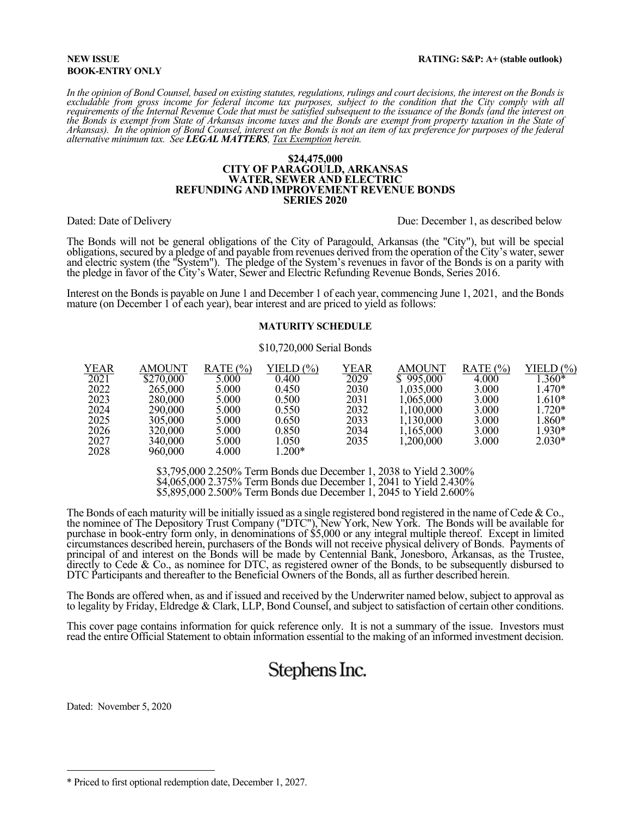#### **NEW ISSUE BOOK-ENTRY ONLY**

*In the opinion of Bond Counsel, based on existing statutes, regulations, rulings and court decisions, the interest on the Bonds is excludable from gross income for federal income tax purposes, subject to the condition that the City comply with all*  requirements of the Internal Revenue Code that must be satisfied subsequent to the issuance of the Bonds (and the interest on<br>the Bonds is exempt from State of Arkansas income taxes and the Bonds are exempt from property t *the Bonds is exempt from State of Arkansas income taxes and the Bonds are exempt from property taxation in the State of Arkansas). In the opinion of Bond Counsel, interest on the Bonds is not an item of tax preference for* 

#### **\$24,475,000 CITY OF PARAGOULD, ARKANSAS WATER, SEWER AND ELECTRIC REFUNDING AND IMPROVEMENT REVENUE BONDS SERIES 2020**

Dated: Date of Delivery **Due: December 1, as described below** Due: December 1, as described below

The Bonds will not be general obligations of the City of Paragould, Arkansas (the "City"), but will be special obligations, secured by a pledge of and payable from revenues derived from the operation of the City's water, sewer and electric system (the "System"). The pledge of the System's revenues in favor of the Bonds is on a parity with the pledge in favor of the City's Water, Sewer and Electric Refunding Revenue Bonds, Series 2016.

Interest on the Bonds is payable on June 1 and December 1 of each year, commencing June 1, 2021, and the Bonds mature (on December 1 of each year), bear interest and are priced to yield as follows:

#### **MATURITY SCHEDULE**

#### \$10,720,000 Serial Bonds

| <b>YEAR</b> | AMOUNT    | RATE $(\% )$ | YIELD $(\% )$ | YEAR | AMOUNT    | RATE $(\% )$ | YIELD $(\% )$ |
|-------------|-----------|--------------|---------------|------|-----------|--------------|---------------|
| 2021        | \$270,000 | 5.000        | 0.400         | 2029 | \$995,000 | 4.000        | $.360*$       |
| 2022        | 265,000   | 5.000        | 0.450         | 2030 | 1,035,000 | 3.000        | $.470*$       |
| 2023        | 280,000   | 5.000        | 0.500         | 2031 | 1,065,000 | 3.000        | 1.610*        |
| 2024        | 290,000   | 5.000        | 0.550         | 2032 | 1,100,000 | 3.000        | $.720*$       |
| 2025        | 305,000   | 5.000        | 0.650         | 2033 | 1,130,000 | 3.000        | $.860*$       |
| 2026        | 320,000   | 5.000        | 0.850         | 2034 | 1,165,000 | 3.000        | $.930*$       |
| 2027        | 340,000   | 5.000        | l.050         | 2035 | 1,200,000 | 3.000        | $2.030*$      |
| 2028        | 960,000   | 4.000        | $.200*$       |      |           |              |               |

\$3,795,000 2.250% Term Bonds due December 1, 2038 to Yield 2.300% \$4,065,000 2.375% Term Bonds due December 1, 2041 to Yield 2.430% \$5,895,000 2.500% Term Bonds due December 1, 2045 to Yield 2.600%

The Bonds of each maturity will be initially issued as a single registered bond registered in the name of Cede & Co., the nominee of The Depository Trust Company ("DTC"), New York, New York. The Bonds will be available for purchase in book-entry form only, in denominations of \$5,000 or any integral multiple thereof. Except in limited circumstances described herein, purchasers of the Bonds will not receive physical delivery of Bonds. Payments of principal of and interest on the Bonds will be made by Centennial Bank, Jonesboro, Arkansas, as the Trustee, directly to Cede & Co., as nominee for DTC, as registered owner of the Bonds, to be subsequently disbursed to DTC Participants and thereafter to the Beneficial Owners of the Bonds, all as further described herein.

The Bonds are offered when, as and if issued and received by the Underwriter named below, subject to approval as to legality by Friday, Eldredge & Clark, LLP, Bond Counsel, and subject to satisfaction of certain other conditions.

This cover page contains information for quick reference only. It is not a summary of the issue. Investors must read the entire Official Statement to obtain information essential to the making of an informed investment decision.

# Stephens Inc.

Dated: November 5, 2020

 $\overline{a}$ 

<sup>\*</sup> Priced to first optional redemption date, December 1, 2027.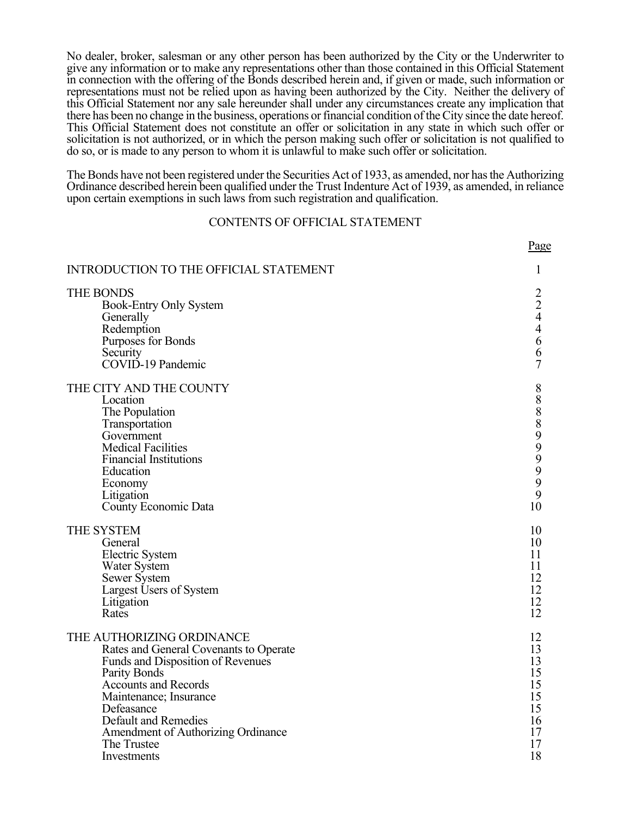No dealer, broker, salesman or any other person has been authorized by the City or the Underwriter to give any information or to make any representations other than those contained in this Official Statement in connection with the offering of the Bonds described herein and, if given or made, such information or representations must not be relied upon as having been authorized by the City. Neither the delivery of this Official Statement nor any sale hereunder shall under any circumstances create any implication that there has been no change in the business, operations or financial condition of the City since the date hereof. This Official Statement does not constitute an offer or solicitation in any state in which such offer or solicitation is not authorized, or in which the person making such offer or solicitation is not qualified to do so, or is made to any person to whom it is unlawful to make such offer or solicitation.

The Bonds have not been registered under the Securities Act of 1933, as amended, nor has the Authorizing Ordinance described herein been qualified under the Trust Indenture Act of 1939, as amended, in reliance upon certain exemptions in such laws from such registration and qualification.

### CONTENTS OF OFFICIAL STATEMENT

|                                                                                                                                                                                                                   | Page                         |
|-------------------------------------------------------------------------------------------------------------------------------------------------------------------------------------------------------------------|------------------------------|
| <b>INTRODUCTION TO THE OFFICIAL STATEMENT</b>                                                                                                                                                                     | 1                            |
| THE BONDS                                                                                                                                                                                                         | $\overline{2}$               |
| <b>Book-Entry Only System</b>                                                                                                                                                                                     | $\overline{2}$               |
| Generally                                                                                                                                                                                                         | $\overline{4}$               |
| Redemption                                                                                                                                                                                                        | $\overline{4}$               |
| Purposes for Bonds                                                                                                                                                                                                | 6                            |
| Security                                                                                                                                                                                                          | 6                            |
| COVID-19 Pandemic                                                                                                                                                                                                 | $\overline{7}$               |
| THE CITY AND THE COUNTY<br>Location<br>The Population<br>Transportation<br>Government<br><b>Medical Facilities</b><br><b>Financial Institutions</b><br>Education<br>Economy<br>Litigation<br>County Economic Data | 8<br>$\,8$<br>88999999<br>10 |
| THE SYSTEM                                                                                                                                                                                                        | 10                           |
| General                                                                                                                                                                                                           | 10                           |
| Electric System                                                                                                                                                                                                   | 11                           |
| <b>Water System</b>                                                                                                                                                                                               | 11                           |
| Sewer System                                                                                                                                                                                                      | 12                           |
| Largest Users of System                                                                                                                                                                                           | 12                           |
| Litigation                                                                                                                                                                                                        | 12                           |
| Rates                                                                                                                                                                                                             | 12                           |
| THE AUTHORIZING ORDINANCE                                                                                                                                                                                         | 12                           |
| Rates and General Covenants to Operate                                                                                                                                                                            | 13                           |
| Funds and Disposition of Revenues                                                                                                                                                                                 | 13                           |
| <b>Parity Bonds</b>                                                                                                                                                                                               | 15                           |
| <b>Accounts and Records</b>                                                                                                                                                                                       | 15                           |
| Maintenance; Insurance                                                                                                                                                                                            | 15                           |
| Defeasance                                                                                                                                                                                                        | 15                           |
| Default and Remedies                                                                                                                                                                                              | 16                           |
| Amendment of Authorizing Ordinance                                                                                                                                                                                | 17                           |
| The Trustee                                                                                                                                                                                                       | 17                           |
| Investments                                                                                                                                                                                                       | 18                           |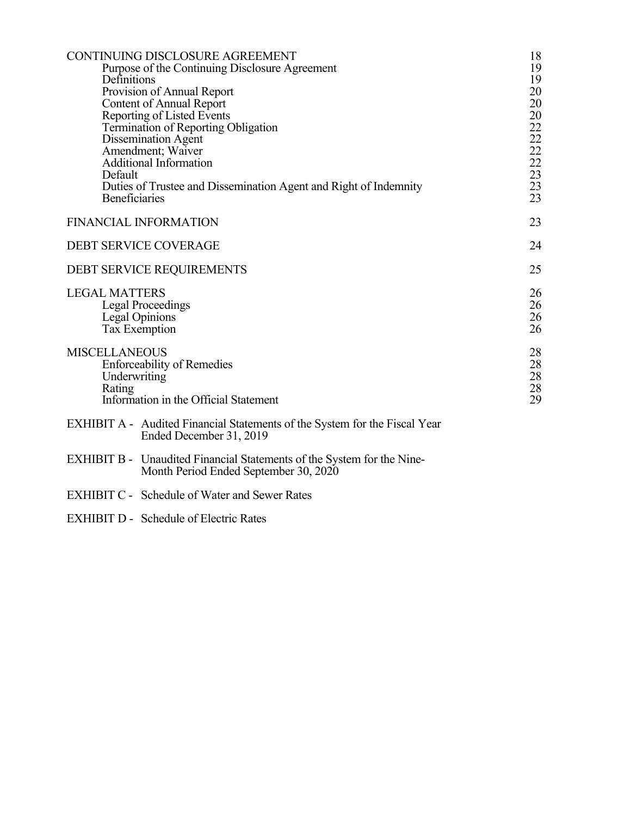| CONTINUING DISCLOSURE AGREEMENT<br>Purpose of the Continuing Disclosure Agreement<br>Definitions<br>Provision of Annual Report<br><b>Content of Annual Report</b><br>Reporting of Listed Events<br>Termination of Reporting Obligation<br>Dissemination Agent<br>Amendment; Waiver<br><b>Additional Information</b><br>Default<br>Duties of Trustee and Dissemination Agent and Right of Indemnity | 18<br>19<br>19<br>20<br>20<br>20<br>$\frac{22}{22}$<br>22<br>22<br>22<br>23<br>23<br>$2\overline{3}$ |
|----------------------------------------------------------------------------------------------------------------------------------------------------------------------------------------------------------------------------------------------------------------------------------------------------------------------------------------------------------------------------------------------------|------------------------------------------------------------------------------------------------------|
| <b>Beneficiaries</b><br><b>FINANCIAL INFORMATION</b>                                                                                                                                                                                                                                                                                                                                               | 23                                                                                                   |
|                                                                                                                                                                                                                                                                                                                                                                                                    |                                                                                                      |
| <b>DEBT SERVICE COVERAGE</b>                                                                                                                                                                                                                                                                                                                                                                       | 24                                                                                                   |
| DEBT SERVICE REQUIREMENTS                                                                                                                                                                                                                                                                                                                                                                          | 25                                                                                                   |
| <b>LEGAL MATTERS</b><br><b>Legal Proceedings</b><br>Legal Opinions<br><b>Tax Exemption</b>                                                                                                                                                                                                                                                                                                         | 26<br>26<br>26<br>26                                                                                 |
| <b>MISCELLANEOUS</b><br><b>Enforceability of Remedies</b><br>Underwriting<br>Rating<br>Information in the Official Statement                                                                                                                                                                                                                                                                       | 28<br>28<br>28<br>$28\,$<br>29                                                                       |
| <b>EXHIBIT A - Audited Financial Statements of the System for the Fiscal Year</b><br>Ended December 31, 2019                                                                                                                                                                                                                                                                                       |                                                                                                      |
| <b>EXHIBIT B -</b> Unaudited Financial Statements of the System for the Nine-<br>Month Period Ended September 30, 2020                                                                                                                                                                                                                                                                             |                                                                                                      |

- EXHIBIT C Schedule of Water and Sewer Rates
- EXHIBIT D Schedule of Electric Rates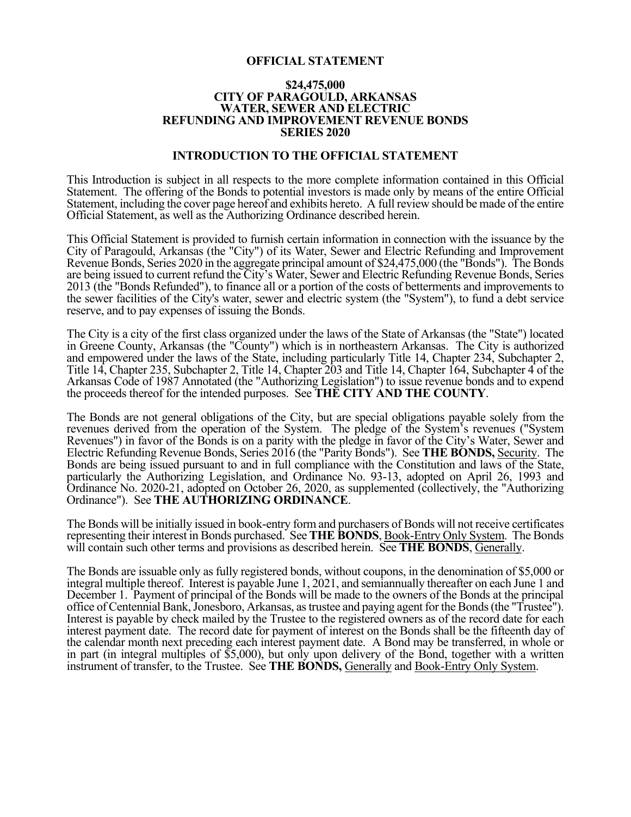#### **OFFICIAL STATEMENT**

#### **\$24,475,000 CITY OF PARAGOULD, ARKANSAS WATER, SEWER AND ELECTRIC REFUNDING AND IMPROVEMENT REVENUE BONDS SERIES 2020**

#### **INTRODUCTION TO THE OFFICIAL STATEMENT**

This Introduction is subject in all respects to the more complete information contained in this Official Statement. The offering of the Bonds to potential investors is made only by means of the entire Official Statement, including the cover page hereof and exhibits hereto. A full review should be made of the entire Official Statement, as well as the Authorizing Ordinance described herein.

This Official Statement is provided to furnish certain information in connection with the issuance by the City of Paragould, Arkansas (the "City") of its Water, Sewer and Electric Refunding and Improvement Revenue Bonds, Series 2020 in the aggregate principal amount of \$24,475,000 (the "Bonds"). The Bonds are being issued to current refund the City's Water, Sewer and Electric Refunding Revenue Bonds, Series 2013 (the "Bonds Refunded"), to finance all or a portion of the costs of betterments and improvements to the sewer facilities of the City's water, sewer and electric system (the "System"), to fund a debt service reserve, and to pay expenses of issuing the Bonds.

The City is a city of the first class organized under the laws of the State of Arkansas (the "State") located in Greene County, Arkansas (the "County") which is in northeastern Arkansas. The City is authorized and empowered under the laws of the State, including particularly Title 14, Chapter 234, Subchapter 2, Title 14, Chapter 235, Subchapter 2, Title 14, Chapter 203 and Title 14, Chapter 164, Subchapter 4 of the Arkansas Code of 1987 Annotated (the "Authorizing Legislation") to issue revenue bonds and to expend the proceeds thereof for the intended purposes. See **THE CITY AND THE COUNTY**.

The Bonds are not general obligations of the City, but are special obligations payable solely from the revenues derived from the operation of the System. The pledge of the System's revenues ("System Revenues") in favor of the Bonds is on a parity with the pledge in favor of the City's Water, Sewer and Electric Refunding Revenue Bonds, Series 2016 (the "Parity Bonds"). See **THE BONDS,** Security. The Bonds are being issued pursuant to and in full compliance with the Constitution and laws of the State, particularly the Authorizing Legislation, and Ordinance No. 93-13, adopted on April 26, 1993 and Ordinance No. 2020-21, adopted on October 26, 2020, as supplemented (collectively, the "Authorizing Ordinance"). See **THE AUTHORIZING ORDINANCE**.

The Bonds will be initially issued in book-entry form and purchasers of Bonds will not receive certificates representing their interest in Bonds purchased. See **THE BONDS**, Book-Entry Only System. The Bonds will contain such other terms and provisions as described herein. See **THE BONDS**, Generally.

The Bonds are issuable only as fully registered bonds, without coupons, in the denomination of \$5,000 or integral multiple thereof. Interest is payable June 1, 2021, and semiannually thereafter on each June 1 and December 1. Payment of principal of the Bonds will be made to the owners of the Bonds at the principal office of Centennial Bank, Jonesboro, Arkansas, as trustee and paying agent for the Bonds (the "Trustee"). Interest is payable by check mailed by the Trustee to the registered owners as of the record date for each interest payment date. The record date for payment of interest on the Bonds shall be the fifteenth day of the calendar month next preceding each interest payment date. A Bond may be transferred, in whole or in part (in integral multiples of \$5,000), but only upon delivery of the Bond, together with a written instrument of transfer, to the Trustee. See **THE BONDS,** Generally and Book-Entry Only System.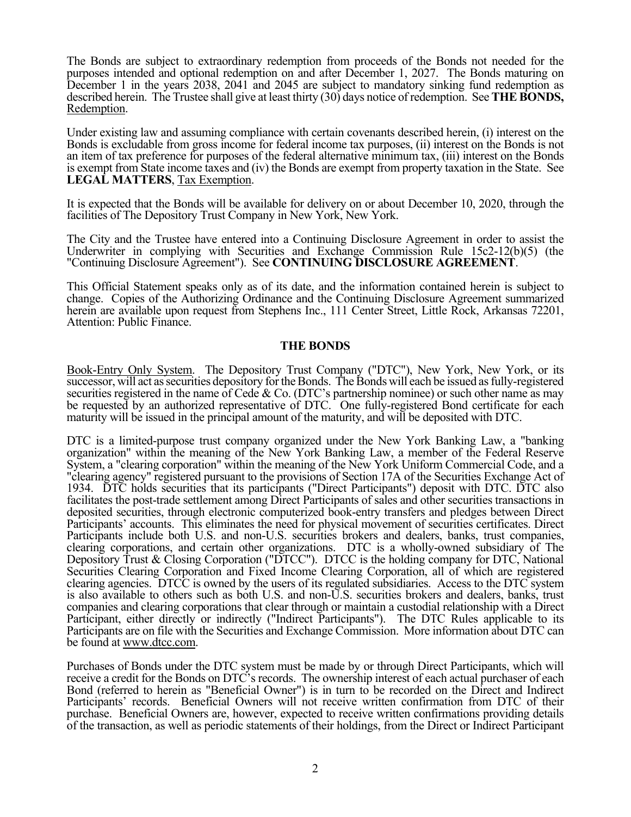The Bonds are subject to extraordinary redemption from proceeds of the Bonds not needed for the purposes intended and optional redemption on and after December 1, 2027. The Bonds maturing on December 1 in the years 2038, 2041 and 2045 are subject to mandatory sinking fund redemption as described herein. The Trustee shall give at least thirty (30) days notice of redemption. See **THE BONDS,** Redemption.

Under existing law and assuming compliance with certain covenants described herein, (i) interest on the Bonds is excludable from gross income for federal income tax purposes, (ii) interest on the Bonds is not an item of tax preference for purposes of the federal alternative minimum tax, (iii) interest on the Bonds is exempt from State income taxes and (iv) the Bonds are exempt from property taxation in the State. See **LEGAL MATTERS**, Tax Exemption.

It is expected that the Bonds will be available for delivery on or about December 10, 2020, through the facilities of The Depository Trust Company in New York, New York.

The City and the Trustee have entered into a Continuing Disclosure Agreement in order to assist the Underwriter in complying with Securities and Exchange Commission Rule 15c2-12(b)(5) (the "Continuing Disclosure Agreement"). See **CONTINUING DISCLOSURE AGREEMENT**.

This Official Statement speaks only as of its date, and the information contained herein is subject to change. Copies of the Authorizing Ordinance and the Continuing Disclosure Agreement summarized herein are available upon request from Stephens Inc., 111 Center Street, Little Rock, Arkansas 72201, Attention: Public Finance.

#### **THE BONDS**

Book-Entry Only System. The Depository Trust Company ("DTC"), New York, New York, or its successor, will act as securities depository for the Bonds. The Bonds will each be issued as fully-registered securities registered in the name of Cede & Co. (DTC's partnership nominee) or such other name as may be requested by an authorized representative of DTC. One fully-registered Bond certificate for each maturity will be issued in the principal amount of the maturity, and will be deposited with DTC.

DTC is a limited-purpose trust company organized under the New York Banking Law, a "banking organization" within the meaning of the New York Banking Law, a member of the Federal Reserve System, a "clearing corporation" within the meaning of the New York Uniform Commercial Code, and a "clearing agency" registered pursuant to the provisions of Section 17A of the Securities Exchange Act of 1934. DTC holds securities that its participants ("Direct Participants") deposit with DTC. DTC also facilitates the post-trade settlement among Direct Participants of sales and other securities transactions in deposited securities, through electronic computerized book-entry transfers and pledges between Direct Participants' accounts. This eliminates the need for physical movement of securities certificates. Direct Participants include both U.S. and non-U.S. securities brokers and dealers, banks, trust companies, clearing corporations, and certain other organizations. DTC is a wholly-owned subsidiary of The Depository Trust & Closing Corporation ("DTCC"). DTCC is the holding company for DTC, National Securities Clearing Corporation and Fixed Income Clearing Corporation, all of which are registered clearing agencies. DTCC is owned by the users of its regulated subsidiaries. Access to the DTC system is also available to others such as both U.S. and non-U.S. securities brokers and dealers, banks, trust companies and clearing corporations that clear through or maintain a custodial relationship with a Direct Participant, either directly or indirectly ("Indirect Participants"). The DTC Rules applicable to its Participants are on file with the Securities and Exchange Commission. More information about DTC can be found at www.dtcc.com.

Purchases of Bonds under the DTC system must be made by or through Direct Participants, which will receive a credit for the Bonds on DTC's records. The ownership interest of each actual purchaser of each Bond (referred to herein as "Beneficial Owner") is in turn to be recorded on the Direct and Indirect Participants' records. Beneficial Owners will not receive written confirmation from DTC of their purchase. Beneficial Owners are, however, expected to receive written confirmations providing details of the transaction, as well as periodic statements of their holdings, from the Direct or Indirect Participant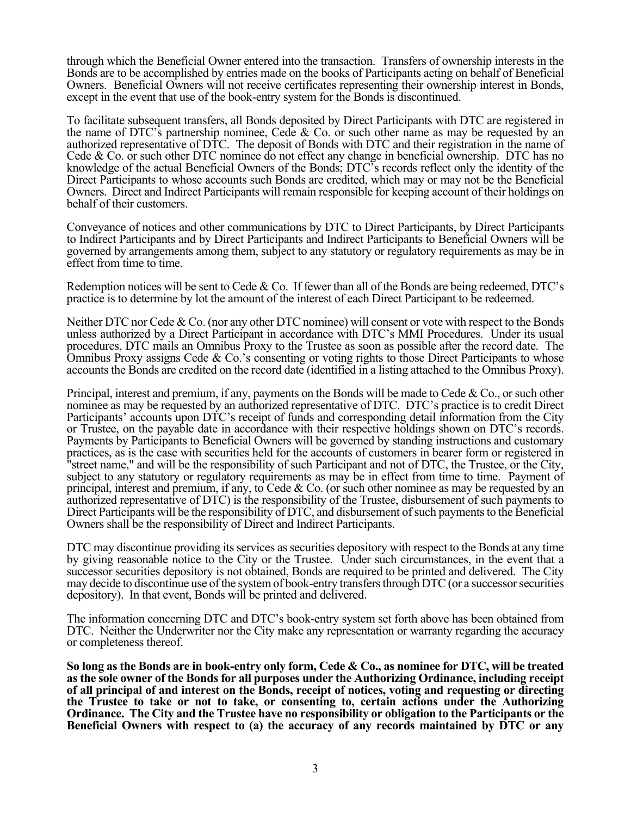through which the Beneficial Owner entered into the transaction. Transfers of ownership interests in the Bonds are to be accomplished by entries made on the books of Participants acting on behalf of Beneficial Owners. Beneficial Owners will not receive certificates representing their ownership interest in Bonds, except in the event that use of the book-entry system for the Bonds is discontinued.

To facilitate subsequent transfers, all Bonds deposited by Direct Participants with DTC are registered in the name of DTC's partnership nominee, Cede & Co. or such other name as may be requested by an authorized representative of DTC. The deposit of Bonds with DTC and their registration in the name of Cede & Co. or such other DTC nominee do not effect any change in beneficial ownership. DTC has no knowledge of the actual Beneficial Owners of the Bonds; DTC's records reflect only the identity of the Direct Participants to whose accounts such Bonds are credited, which may or may not be the Beneficial Owners. Direct and Indirect Participants will remain responsible for keeping account of their holdings on behalf of their customers.

Conveyance of notices and other communications by DTC to Direct Participants, by Direct Participants to Indirect Participants and by Direct Participants and Indirect Participants to Beneficial Owners will be governed by arrangements among them, subject to any statutory or regulatory requirements as may be in effect from time to time.

Redemption notices will be sent to Cede & Co. If fewer than all of the Bonds are being redeemed, DTC's practice is to determine by lot the amount of the interest of each Direct Participant to be redeemed.

Neither DTC nor Cede & Co. (nor any other DTC nominee) will consent or vote with respect to the Bonds unless authorized by a Direct Participant in accordance with DTC's MMI Procedures. Under its usual procedures, DTC mails an Omnibus Proxy to the Trustee as soon as possible after the record date. The Omnibus Proxy assigns Cede  $& Co.'s$  consenting or voting rights to those Direct Participants to whose accounts the Bonds are credited on the record date (identified in a listing attached to the Omnibus Proxy).

Principal, interest and premium, if any, payments on the Bonds will be made to Cede & Co., or such other nominee as may be requested by an authorized representative of DTC. DTC's practice is to credit Direct Participants' accounts upon DTC's receipt of funds and corresponding detail information from the City or Trustee, on the payable date in accordance with their respective holdings shown on DTC's records. Payments by Participants to Beneficial Owners will be governed by standing instructions and customary practices, as is the case with securities held for the accounts of customers in bearer form or registered in "street name," and will be the responsibility of such Participant and not of DTC, the Trustee, or the City, subject to any statutory or regulatory requirements as may be in effect from time to time. Payment of principal, interest and premium, if any, to Cede & Co. (or such other nominee as may be requested by an authorized representative of DTC) is the responsibility of the Trustee, disbursement of such payments to Direct Participants will be the responsibility of DTC, and disbursement of such payments to the Beneficial Owners shall be the responsibility of Direct and Indirect Participants.

DTC may discontinue providing its services as securities depository with respect to the Bonds at any time by giving reasonable notice to the City or the Trustee. Under such circumstances, in the event that a successor securities depository is not obtained, Bonds are required to be printed and delivered. The City may decide to discontinue use of the system of book-entry transfers through DTC (or a successor securities depository). In that event, Bonds will be printed and delivered.

The information concerning DTC and DTC's book-entry system set forth above has been obtained from DTC. Neither the Underwriter nor the City make any representation or warranty regarding the accuracy or completeness thereof.

**So long as the Bonds are in book-entry only form, Cede & Co., as nominee for DTC, will be treated as the sole owner of the Bonds for all purposes under the Authorizing Ordinance, including receipt of all principal of and interest on the Bonds, receipt of notices, voting and requesting or directing the Trustee to take or not to take, or consenting to, certain actions under the Authorizing Ordinance. The City and the Trustee have no responsibility or obligation to the Participants or the Beneficial Owners with respect to (a) the accuracy of any records maintained by DTC or any**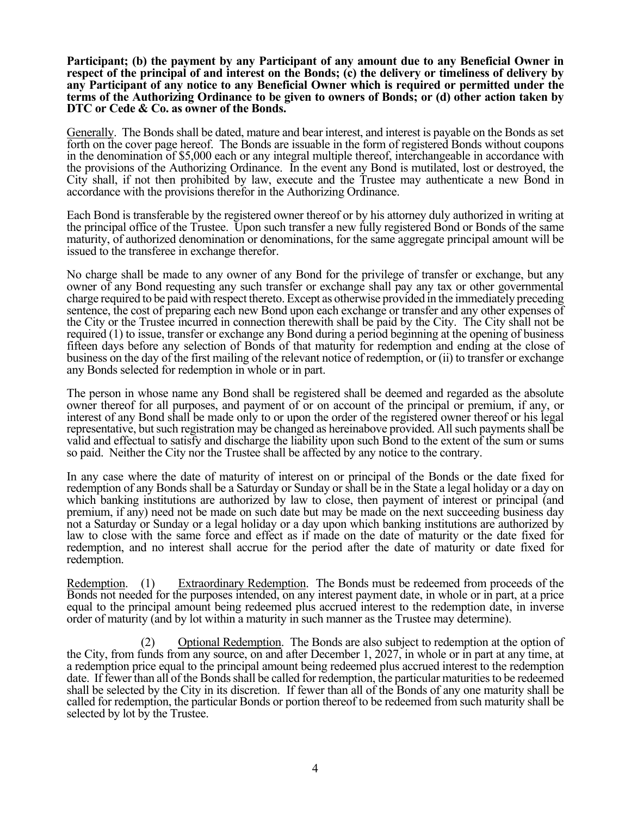**Participant; (b) the payment by any Participant of any amount due to any Beneficial Owner in respect of the principal of and interest on the Bonds; (c) the delivery or timeliness of delivery by any Participant of any notice to any Beneficial Owner which is required or permitted under the terms of the Authorizing Ordinance to be given to owners of Bonds; or (d) other action taken by DTC or Cede & Co. as owner of the Bonds.** 

Generally. The Bonds shall be dated, mature and bear interest, and interest is payable on the Bonds as set forth on the cover page hereof. The Bonds are issuable in the form of registered Bonds without coupons in the denomination of \$5,000 each or any integral multiple thereof, interchangeable in accordance with the provisions of the Authorizing Ordinance. In the event any Bond is mutilated, lost or destroyed, the City shall, if not then prohibited by law, execute and the Trustee may authenticate a new Bond in accordance with the provisions therefor in the Authorizing Ordinance.

Each Bond is transferable by the registered owner thereof or by his attorney duly authorized in writing at the principal office of the Trustee. Upon such transfer a new fully registered Bond or Bonds of the same maturity, of authorized denomination or denominations, for the same aggregate principal amount will be issued to the transferee in exchange therefor.

No charge shall be made to any owner of any Bond for the privilege of transfer or exchange, but any owner of any Bond requesting any such transfer or exchange shall pay any tax or other governmental charge required to be paid with respect thereto. Except as otherwise provided in the immediately preceding sentence, the cost of preparing each new Bond upon each exchange or transfer and any other expenses of the City or the Trustee incurred in connection therewith shall be paid by the City. The City shall not be required (1) to issue, transfer or exchange any Bond during a period beginning at the opening of business fifteen days before any selection of Bonds of that maturity for redemption and ending at the close of business on the day of the first mailing of the relevant notice of redemption, or (ii) to transfer or exchange any Bonds selected for redemption in whole or in part.

The person in whose name any Bond shall be registered shall be deemed and regarded as the absolute owner thereof for all purposes, and payment of or on account of the principal or premium, if any, or interest of any Bond shall be made only to or upon the order of the registered owner thereof or his legal representative, but such registration may be changed as hereinabove provided. All such payments shall be valid and effectual to satisfy and discharge the liability upon such Bond to the extent of the sum or sums so paid. Neither the City nor the Trustee shall be affected by any notice to the contrary.

In any case where the date of maturity of interest on or principal of the Bonds or the date fixed for redemption of any Bonds shall be a Saturday or Sunday or shall be in the State a legal holiday or a day on which banking institutions are authorized by law to close, then payment of interest or principal (and premium, if any) need not be made on such date but may be made on the next succeeding business day not a Saturday or Sunday or a legal holiday or a day upon which banking institutions are authorized by law to close with the same force and effect as if made on the date of maturity or the date fixed for redemption, and no interest shall accrue for the period after the date of maturity or date fixed for redemption.

Redemption. (1) Extraordinary Redemption. The Bonds must be redeemed from proceeds of the Bonds not needed for the purposes intended, on any interest payment date, in whole or in part, at a price equal to the principal amount being redeemed plus accrued interest to the redemption date, in inverse order of maturity (and by lot within a maturity in such manner as the Trustee may determine).

(2) Optional Redemption. The Bonds are also subject to redemption at the option of the City, from funds from any source, on and after December 1, 2027, in whole or in part at any time, at a redemption price equal to the principal amount being redeemed plus accrued interest to the redemption date. If fewer than all of the Bonds shall be called for redemption, the particular maturities to be redeemed shall be selected by the City in its discretion. If fewer than all of the Bonds of any one maturity shall be called for redemption, the particular Bonds or portion thereof to be redeemed from such maturity shall be selected by lot by the Trustee.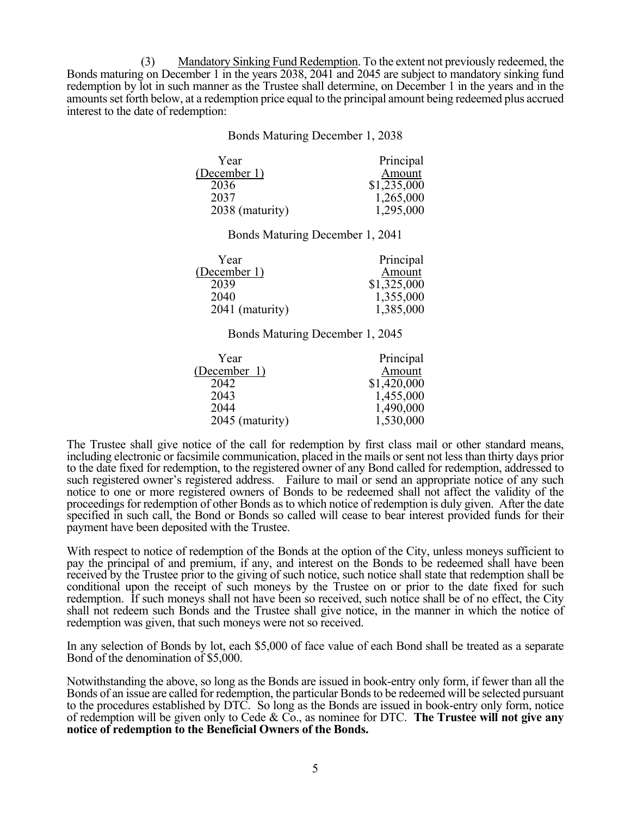(3) Mandatory Sinking Fund Redemption. To the extent not previously redeemed, the Bonds maturing on December 1 in the years 2038, 2041 and 2045 are subject to mandatory sinking fund redemption by lot in such manner as the Trustee shall determine, on December 1 in the years and in the amounts set forth below, at a redemption price equal to the principal amount being redeemed plus accrued interest to the date of redemption:

> Bonds Maturing December 1, 2038 Year (December 1) Principal Amount 2036 \$1,235,000 2037 1,265,000 2038 (maturity) 1,295,000 Bonds Maturing December 1, 2041 Year (December 1) Principal **Amount** 2039 \$1,325,000 2040 1,355,000 2041 (maturity) 1,385,000

Bonds Maturing December 1, 2045

| Year            | Principal   |
|-----------------|-------------|
| (December 1)    | Amount      |
| 2042            | \$1,420,000 |
| 2043            | 1,455,000   |
| 2044            | 1,490,000   |
| 2045 (maturity) | 1,530,000   |

The Trustee shall give notice of the call for redemption by first class mail or other standard means, including electronic or facsimile communication, placed in the mails or sent not less than thirty days prior to the date fixed for redemption, to the registered owner of any Bond called for redemption, addressed to such registered owner's registered address. Failure to mail or send an appropriate notice of any such notice to one or more registered owners of Bonds to be redeemed shall not affect the validity of the proceedings for redemption of other Bonds as to which notice of redemption is duly given. After the date specified in such call, the Bond or Bonds so called will cease to bear interest provided funds for their payment have been deposited with the Trustee.

With respect to notice of redemption of the Bonds at the option of the City, unless moneys sufficient to pay the principal of and premium, if any, and interest on the Bonds to be redeemed shall have been received by the Trustee prior to the giving of such notice, such notice shall state that redemption shall be conditional upon the receipt of such moneys by the Trustee on or prior to the date fixed for such redemption. If such moneys shall not have been so received, such notice shall be of no effect, the City shall not redeem such Bonds and the Trustee shall give notice, in the manner in which the notice of redemption was given, that such moneys were not so received.

In any selection of Bonds by lot, each \$5,000 of face value of each Bond shall be treated as a separate Bond of the denomination of \$5,000.

Notwithstanding the above, so long as the Bonds are issued in book-entry only form, if fewer than all the Bonds of an issue are called for redemption, the particular Bonds to be redeemed will be selected pursuant to the procedures established by DTC. So long as the Bonds are issued in book-entry only form, notice of redemption will be given only to Cede & Co., as nominee for DTC. **The Trustee will not give any notice of redemption to the Beneficial Owners of the Bonds.**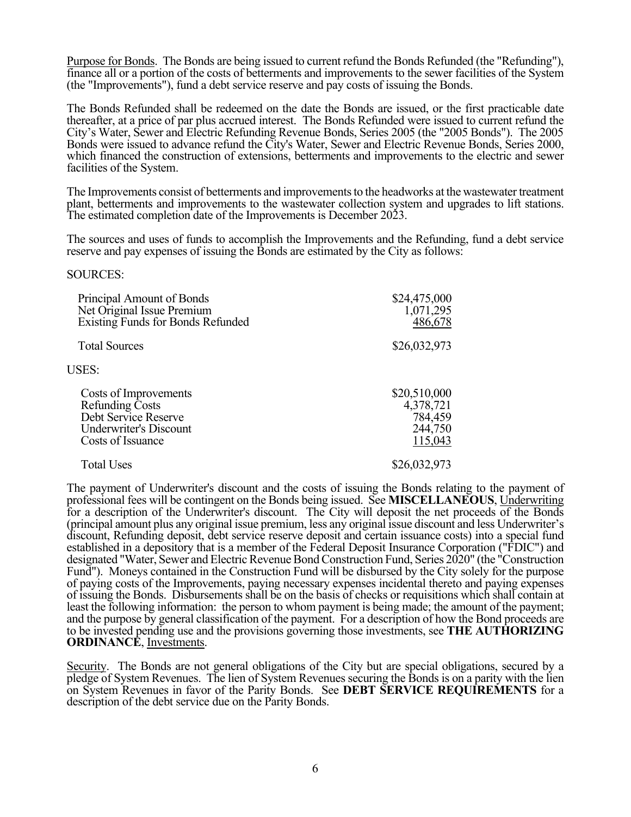Purpose for Bonds. The Bonds are being issued to current refund the Bonds Refunded (the "Refunding"), finance all or a portion of the costs of betterments and improvements to the sewer facilities of the System (the "Improvements"), fund a debt service reserve and pay costs of issuing the Bonds.

The Bonds Refunded shall be redeemed on the date the Bonds are issued, or the first practicable date thereafter, at a price of par plus accrued interest. The Bonds Refunded were issued to current refund the City's Water, Sewer and Electric Refunding Revenue Bonds, Series 2005 (the "2005 Bonds"). The 2005 Bonds were issued to advance refund the City's Water, Sewer and Electric Revenue Bonds, Series 2000, which financed the construction of extensions, betterments and improvements to the electric and sewer facilities of the System.

The Improvements consist of betterments and improvements to the headworks at the wastewater treatment plant, betterments and improvements to the wastewater collection system and upgrades to lift stations. The estimated completion date of the Improvements is December 2023.

The sources and uses of funds to accomplish the Improvements and the Refunding, fund a debt service reserve and pay expenses of issuing the Bonds are estimated by the City as follows:

#### SOURCES:

| Principal Amount of Bonds<br>Net Original Issue Premium<br>Existing Funds for Bonds Refunded                                  | \$24,475,000<br>1,071,295<br>486,678                       |
|-------------------------------------------------------------------------------------------------------------------------------|------------------------------------------------------------|
| <b>Total Sources</b>                                                                                                          | \$26,032,973                                               |
| USES:                                                                                                                         |                                                            |
| Costs of Improvements<br><b>Refunding Costs</b><br>Debt Service Reserve<br><b>Underwriter's Discount</b><br>Costs of Issuance | \$20,510,000<br>4,378,721<br>784,459<br>244,750<br>115,043 |
| <b>Total Uses</b>                                                                                                             | \$26,032,973                                               |

The payment of Underwriter's discount and the costs of issuing the Bonds relating to the payment of professional fees will be contingent on the Bonds being issued. See **MISCELLANEOUS**, Underwriting for a description of the Underwriter's discount. The City will deposit the net proceeds of the Bonds (principal amount plus any original issue premium, less any original issue discount and less Underwriter's discount, Refunding deposit, debt service reserve deposit and certain issuance costs) into a special fund established in a depository that is a member of the Federal Deposit Insurance Corporation ("FDIC") and designated "Water, Sewer and Electric Revenue Bond Construction Fund, Series 2020" (the "Construction Fund"). Moneys contained in the Construction Fund will be disbursed by the City solely for the purpose of paying costs of the Improvements, paying necessary expenses incidental thereto and paying expenses of issuing the Bonds. Disbursements shall be on the basis of checks or requisitions which shall contain at least the following information: the person to whom payment is being made; the amount of the payment; and the purpose by general classification of the payment. For a description of how the Bond proceeds are to be invested pending use and the provisions governing those investments, see **THE AUTHORIZING ORDINANCE**, Investments.

Security. The Bonds are not general obligations of the City but are special obligations, secured by a pledge of System Revenues. The lien of System Revenues securing the Bonds is on a parity with the lien on System Revenues in favor of the Parity Bonds. See **DEBT SERVICE REQUIREMENTS** for a description of the debt service due on the Parity Bonds.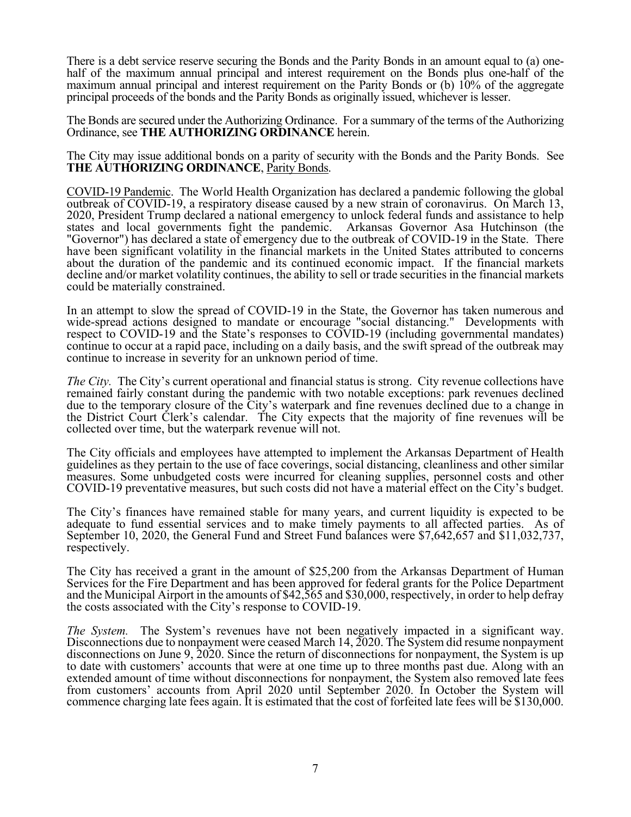There is a debt service reserve securing the Bonds and the Parity Bonds in an amount equal to (a) onehalf of the maximum annual principal and interest requirement on the Bonds plus one-half of the maximum annual principal and interest requirement on the Parity Bonds or (b) 10% of the aggregate principal proceeds of the bonds and the Parity Bonds as originally issued, whichever is lesser.

The Bonds are secured under the Authorizing Ordinance. For a summary of the terms of the Authorizing Ordinance, see **THE AUTHORIZING ORDINANCE** herein.

The City may issue additional bonds on a parity of security with the Bonds and the Parity Bonds. See **THE AUTHORIZING ORDINANCE**, Parity Bonds.

COVID-19 Pandemic. The World Health Organization has declared a pandemic following the global outbreak of COVID-19, a respiratory disease caused by a new strain of coronavirus. On March 13, 2020, President Trump declared a national emergency to unlock federal funds and assistance to help states and local governments fight the pandemic. Arkansas Governor Asa Hutchinson (the "Governor") has declared a state of emergency due to the outbreak of COVID-19 in the State. There have been significant volatility in the financial markets in the United States attributed to concerns about the duration of the pandemic and its continued economic impact. If the financial markets decline and/or market volatility continues, the ability to sell or trade securities in the financial markets could be materially constrained.

In an attempt to slow the spread of COVID-19 in the State, the Governor has taken numerous and wide-spread actions designed to mandate or encourage "social distancing." Developments with respect to COVID-19 and the State's responses to COVID-19 (including governmental mandates) continue to occur at a rapid pace, including on a daily basis, and the swift spread of the outbreak may continue to increase in severity for an unknown period of time.

*The City.* The City's current operational and financial status is strong. City revenue collections have remained fairly constant during the pandemic with two notable exceptions: park revenues declined due to the temporary closure of the City's waterpark and fine revenues declined due to a change in the District Court Clerk's calendar. The City expects that the majority of fine revenues will be collected over time, but the waterpark revenue will not.

The City officials and employees have attempted to implement the Arkansas Department of Health guidelines as they pertain to the use of face coverings, social distancing, cleanliness and other similar measures. Some unbudgeted costs were incurred for cleaning supplies, personnel costs and other COVID-19 preventative measures, but such costs did not have a material effect on the City's budget.

The City's finances have remained stable for many years, and current liquidity is expected to be adequate to fund essential services and to make timely payments to all affected parties. As of September 10, 2020, the General Fund and Street Fund balances were \$7,642,657 and \$11,032,737, respectively.

The City has received a grant in the amount of \$25,200 from the Arkansas Department of Human Services for the Fire Department and has been approved for federal grants for the Police Department and the Municipal Airport in the amounts of \$42,565 and \$30,000, respectively, in order to help defray the costs associated with the City's response to COVID-19.

*The System.* The System's revenues have not been negatively impacted in a significant way. Disconnections due to nonpayment were ceased March 14,  $2020$ . The System did resume nonpayment disconnections on June 9, 2020. Since the return of disconnections for nonpayment, the System is up to date with customers' accounts that were at one time up to three months past due. Along with an extended amount of time without disconnections for nonpayment, the System also removed late fees from customers' accounts from April 2020 until September 2020. In October the System will commence charging late fees again. It is estimated that the cost of forfeited late fees will be \$130,000.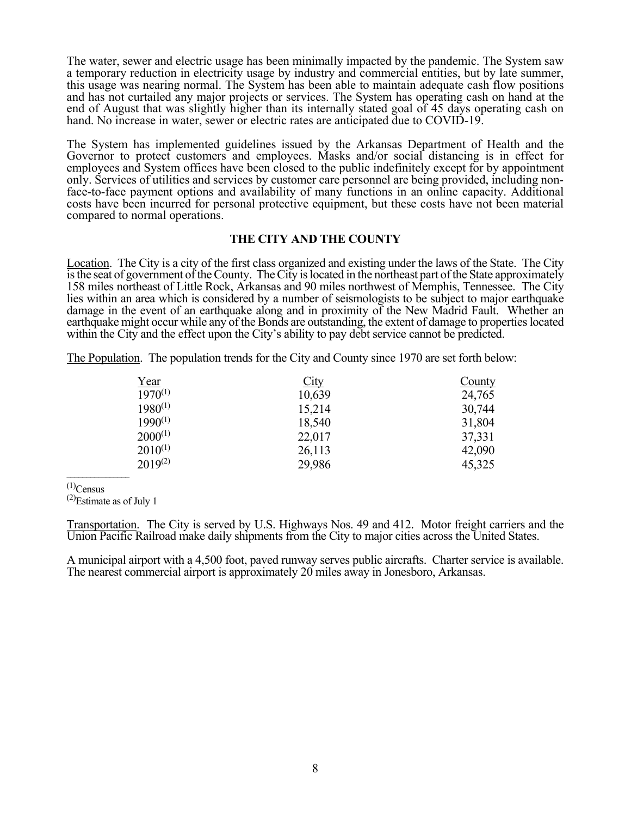The water, sewer and electric usage has been minimally impacted by the pandemic. The System saw a temporary reduction in electricity usage by industry and commercial entities, but by late summer, this usage was nearing normal. The System has been able to maintain adequate cash flow positions and has not curtailed any major projects or services. The System has operating cash on hand at the end of August that was slightly higher than its internally stated goal of 45 days operating cash on hand. No increase in water, sewer or electric rates are anticipated due to COVID-19.

The System has implemented guidelines issued by the Arkansas Department of Health and the Governor to protect customers and employees. Masks and/or social distancing is in effect for employees and System offices have been closed to the public indefinitely except for by appointment only. Services of utilities and services by customer care personnel are being provided, including nonface-to-face payment options and availability of many functions in an online capacity. Additional costs have been incurred for personal protective equipment, but these costs have not been material compared to normal operations.

### **THE CITY AND THE COUNTY**

Location. The City is a city of the first class organized and existing under the laws of the State. The City is the seat of government of the County. The City is located in the northeast part of the State approximately 158 miles northeast of Little Rock, Arkansas and 90 miles northwest of Memphis, Tennessee. The City lies within an area which is considered by a number of seismologists to be subject to major earthquake damage in the event of an earthquake along and in proximity of the New Madrid Fault. Whether an earthquake might occur while any of the Bonds are outstanding, the extent of damage to properties located within the City and the effect upon the City's ability to pay debt service cannot be predicted.

The Population. The population trends for the City and County since 1970 are set forth below:

| <u>Year</u>  | City   | County |
|--------------|--------|--------|
| $1970^{(1)}$ | 10,639 | 24,765 |
| $1980^{(1)}$ | 15,214 | 30,744 |
| $1990^{(1)}$ | 18,540 | 31,804 |
| $2000^{(1)}$ | 22,017 | 37,331 |
| $2010^{(1)}$ | 26,113 | 42,090 |
| $2019^{(2)}$ | 29,986 | 45,325 |

 $^{(1)}$ Census

 $^{(2)}$ Estimate as of July 1

Transportation. The City is served by U.S. Highways Nos. 49 and 412. Motor freight carriers and the Union Pacific Railroad make daily shipments from the City to major cities across the United States.

A municipal airport with a 4,500 foot, paved runway serves public aircrafts. Charter service is available. The nearest commercial airport is approximately 20 miles away in Jonesboro, Arkansas.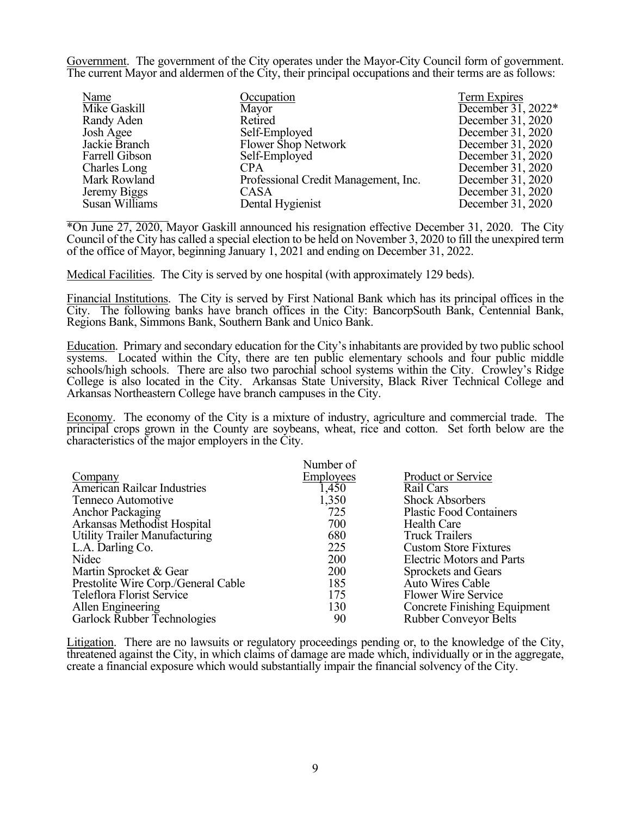Government. The government of the City operates under the Mayor-City Council form of government. The current Mayor and aldermen of the City, their principal occupations and their terms are as follows:

| Name           | Occupation                           | Term Expires                     |
|----------------|--------------------------------------|----------------------------------|
| Mike Gaskill   | Mayor                                | December $\overline{31}$ , 2022* |
| Randy Aden     | Retired                              | December 31, 2020                |
| Josh Agee      | Self-Employed                        | December 31, 2020                |
| Jackie Branch  | Flower Shop Network                  | December 31, 2020                |
| Farrell Gibson | Self-Employed                        | December 31, 2020                |
| Charles Long   | CPA                                  | December 31, 2020                |
| Mark Rowland   | Professional Credit Management, Inc. | December 31, 2020                |
| Jeremy Biggs   | <b>CASA</b>                          | December 31, 2020                |
| Susan Williams | Dental Hygienist                     | December 31, 2020                |
|                |                                      |                                  |

\*On June 27, 2020, Mayor Gaskill announced his resignation effective December 31, 2020. The City Council of the City has called a special election to be held on November 3, 2020 to fill the unexpired term of the office of Mayor, beginning January 1, 2021 and ending on December 31, 2022.

Medical Facilities. The City is served by one hospital (with approximately 129 beds).

Financial Institutions. The City is served by First National Bank which has its principal offices in the City. The following banks have branch offices in the City: BancorpSouth Bank, Centennial Bank, Regions Bank, Simmons Bank, Southern Bank and Unico Bank.

Education. Primary and secondary education for the City's inhabitants are provided by two public school systems. Located within the City, there are ten public elementary schools and four public middle schools/high schools. There are also two parochial school systems within the City. Crowley's Ridge College is also located in the City. Arkansas State University, Black River Technical College and Arkansas Northeastern College have branch campuses in the City.

Economy. The economy of the City is a mixture of industry, agriculture and commercial trade. The principal crops grown in the County are soybeans, wheat, rice and cotton. Set forth below are the characteristics of the major employers in the City.

|                                      | Number of  |                                     |
|--------------------------------------|------------|-------------------------------------|
| Company                              | Employees  | <b>Product or Service</b>           |
| <b>American Railcar Industries</b>   | 1,450      | Rail Cars                           |
| Tenneco Automotive                   | 1,350      | <b>Shock Absorbers</b>              |
| Anchor Packaging                     | 725        | <b>Plastic Food Containers</b>      |
| Arkansas Methodist Hospital          | 700        | Health Care                         |
| <b>Utility Trailer Manufacturing</b> | 680        | <b>Truck Trailers</b>               |
| L.A. Darling Co.                     | 225        | <b>Custom Store Fixtures</b>        |
| Nidec                                | <b>200</b> | <b>Electric Motors and Parts</b>    |
| Martin Sprocket & Gear               | 200        | Sprockets and Gears                 |
| Prestolite Wire Corp./General Cable  | 185        | <b>Auto Wires Cable</b>             |
| Teleflora Florist Service            | 175        | Flower Wire Service                 |
| Allen Engineering                    | 130        | <b>Concrete Finishing Equipment</b> |
| Garlock Rubber Technologies          | 90         | <b>Rubber Conveyor Belts</b>        |

Litigation. There are no lawsuits or regulatory proceedings pending or, to the knowledge of the City, threatened against the City, in which claims of damage are made which, individually or in the aggregate, create a financial exposure which would substantially impair the financial solvency of the City.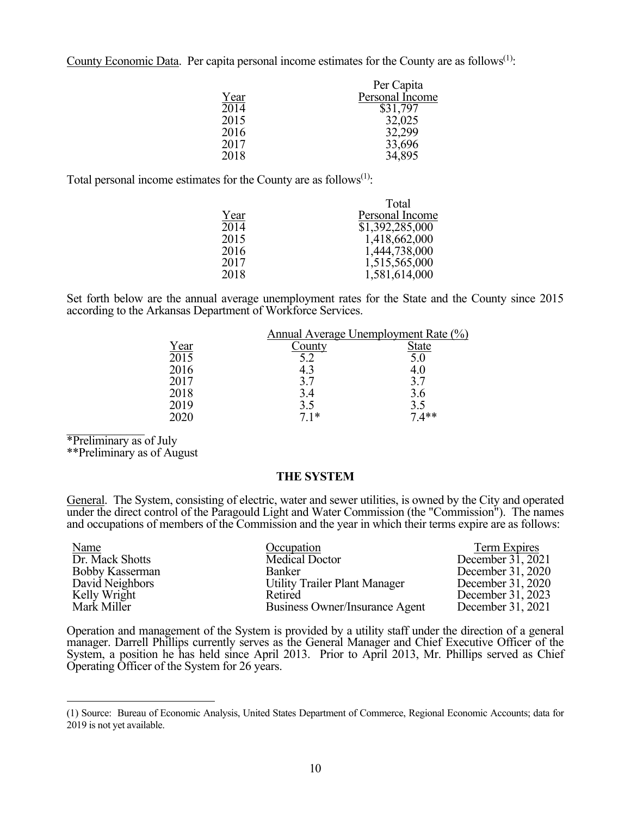County Economic Data. Per capita personal income estimates for the County are as follows<sup> $(1)$ </sup>:

|      | Per Capita      |
|------|-----------------|
| Year | Personal Income |
| 2014 | \$31,797        |
| 2015 | 32,025          |
| 2016 | 32,299          |
| 2017 | 33,696          |
| 2018 | 34,895          |

Total personal income estimates for the County are as follows<sup> $(1)$ </sup>:

|      | Total           |
|------|-----------------|
| Year | Personal Income |
| 2014 | \$1,392,285,000 |
| 2015 | 1,418,662,000   |
| 2016 | 1,444,738,000   |
| 2017 | 1,515,565,000   |
| 2018 | 1,581,614,000   |

Set forth below are the annual average unemployment rates for the State and the County since 2015 according to the Arkansas Department of Workforce Services.

|                   | Annual Average Unemployment Rate (%) |              |
|-------------------|--------------------------------------|--------------|
| Year              | County                               | <b>State</b> |
| $20\overline{15}$ | 5.2                                  | 5.0          |
| 2016              | 4.3                                  | 4.0          |
| 2017              | 3.7                                  | 3.7          |
| 2018              | 3.4                                  | 3.6          |
| 2019              | 3.5                                  | 3.5          |
| 2020              | $7.1*$                               | $7.4**$      |
|                   |                                      |              |

\*Preliminary as of July

 $\overline{a}$ 

\*\*Preliminary as of August

### **THE SYSTEM**

General. The System, consisting of electric, water and sewer utilities, is owned by the City and operated under the direct control of the Paragould Light and Water Commission (the "Commission"). The names and occupations of members of the Commission and the year in which their terms expire are as follows:

| <b>Name</b>            | Occupation                           | Term Expires      |
|------------------------|--------------------------------------|-------------------|
| Dr. Mack Shotts        | <b>Medical Doctor</b>                | December 31, 2021 |
| <b>Bobby Kasserman</b> | <b>Banker</b>                        | December 31, 2020 |
| David Neighbors        | <b>Utility Trailer Plant Manager</b> | December 31, 2020 |
| Kelly Wright           | Retired                              | December 31, 2023 |
| Mark Miller            | Business Owner/Insurance Agent       | December 31, 2021 |

Operation and management of the System is provided by a utility staff under the direction of a general manager. Darrell Phillips currently serves as the General Manager and Chief Executive Officer of the System, a position he has held since April 2013. Prior to April 2013, Mr. Phillips served as Chief Operating Officer of the System for 26 years.

<sup>(1)</sup> Source: Bureau of Economic Analysis, United States Department of Commerce, Regional Economic Accounts; data for 2019 is not yet available.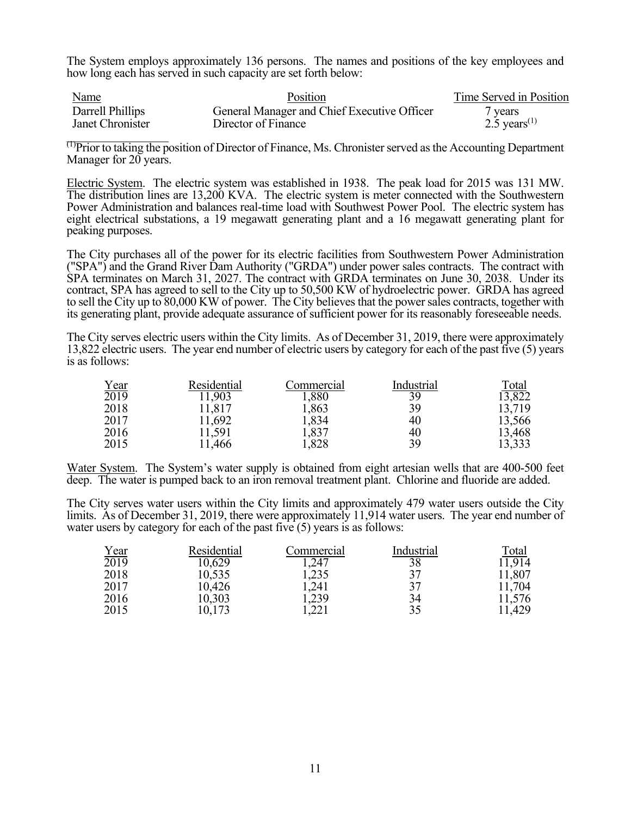The System employs approximately 136 persons. The names and positions of the key employees and how long each has served in such capacity are set forth below:

| <b>Name</b>      | Position                                    | Time Served in Position  |
|------------------|---------------------------------------------|--------------------------|
| Darrell Phillips | General Manager and Chief Executive Officer | / years                  |
| Janet Chronister | Director of Finance                         | 2.5 years <sup>(1)</sup> |

 $<sup>(1)</sup>$ Prior to taking the position of Director of Finance, Ms. Chronister served as the Accounting Department</sup> Manager for 20 years.

Electric System. The electric system was established in 1938. The peak load for 2015 was 131 MW. The distribution lines are 13,200 KVA. The electric system is meter connected with the Southwestern Power Administration and balances real-time load with Southwest Power Pool. The electric system has eight electrical substations, a 19 megawatt generating plant and a 16 megawatt generating plant for peaking purposes.

The City purchases all of the power for its electric facilities from Southwestern Power Administration ("SPA") and the Grand River Dam Authority ("GRDA") under power sales contracts. The contract with SPA terminates on March 31, 2027. The contract with GRDA terminates on June 30, 2038. Under its contract, SPA has agreed to sell to the City up to 50,500 KW of hydroelectric power. GRDA has agreed to sell the City up to 80,000 KW of power. The City believes that the power sales contracts, together with its generating plant, provide adequate assurance of sufficient power for its reasonably foreseeable needs.

The City serves electric users within the City limits. As of December 31, 2019, there were approximately 13,822 electric users. The year end number of electric users by category for each of the past five (5) years is as follows:

|                     | Residential | Commercial | Industrial | Total  |
|---------------------|-------------|------------|------------|--------|
| $\frac{Year}{2019}$ | 11,903      | 1,880      | 39         | 13,822 |
| 2018                | 11,817      | 1,863      | 39         | 13,719 |
| 2017                | 11,692      | 1,834      | 40         | 13,566 |
| 2016                | 11,591      | 1,837      | 40         | 13,468 |
| 2015                | 1,466       | 1,828      | 39         | 13,333 |

Water System. The System's water supply is obtained from eight artesian wells that are 400-500 feet deep. The water is pumped back to an iron removal treatment plant. Chlorine and fluoride are added.

The City serves water users within the City limits and approximately 479 water users outside the City limits. As of December 31, 2019, there were approximately 11,914 water users. The year end number of water users by category for each of the past five  $(5)$  years is as follows:

|                     | Residential | Commercial | Industrial | Total  |
|---------------------|-------------|------------|------------|--------|
| $\frac{Year}{2019}$ | 10,629      | .247       | 38         | 11.914 |
| 2018                | 10,535      | 1,235      | 37         | 11,807 |
| 2017                | 10,426      | 241        | 37         | 11,704 |
| 2016                | 10,303      | 1,239      | 34         | 11,576 |
| 2015                | 10,173      | ,221       | 35         | 11,429 |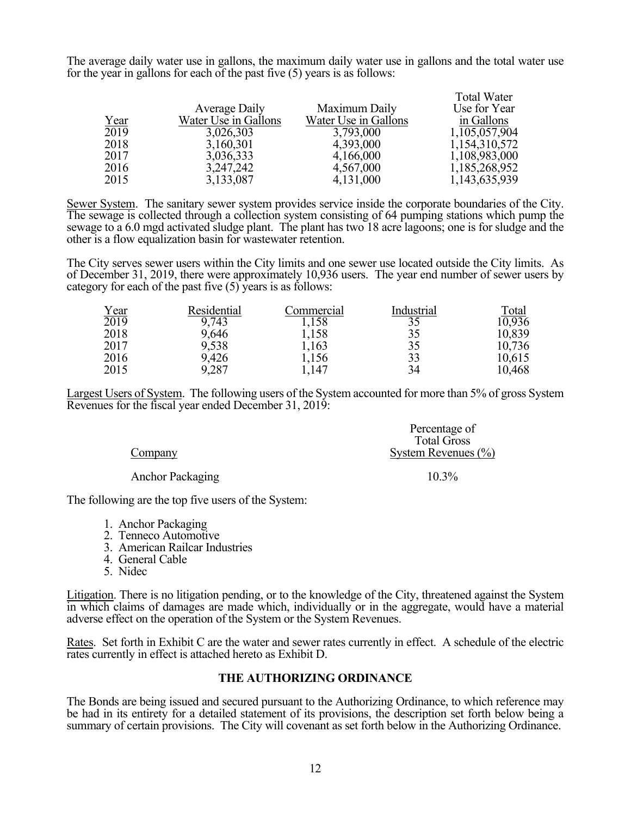The average daily water use in gallons, the maximum daily water use in gallons and the total water use for the year in gallons for each of the past five (5) years is as follows:

|      | Average Daily        | Maximum Daily        | <b>Total Water</b><br>Use for Year |
|------|----------------------|----------------------|------------------------------------|
| Year | Water Use in Gallons | Water Use in Gallons | in Gallons                         |
| 2019 | 3,026,303            | 3,793,000            | 1,105,057,904                      |
| 2018 | 3,160,301            | 4,393,000            | 1,154,310,572                      |
| 2017 | 3,036,333            | 4,166,000            | 1,108,983,000                      |
| 2016 | 3, 247, 242          | 4,567,000            | 1,185,268,952                      |
| 2015 | 3,133,087            | 4,131,000            | 1,143,635,939                      |

Sewer System. The sanitary sewer system provides service inside the corporate boundaries of the City. The sewage is collected through a collection system consisting of 64 pumping stations which pump the sewage to a 6.0 mgd activated sludge plant. The plant has two 18 acre lagoons; one is for sludge and the other is a flow equalization basin for wastewater retention.

The City serves sewer users within the City limits and one sewer use located outside the City limits. As of December 31, 2019, there were approximately 10,936 users. The year end number of sewer users by category for each of the past five  $(5)$  years is as follows:

| $\frac{Year}{2019}$ | Residential | Commercial | Industrial | Total  |
|---------------------|-------------|------------|------------|--------|
|                     | 9,743       | 1,158      | 35         | 10,936 |
| 2018                | 9,646       | 1,158      | 35         | 10,839 |
| 2017                | 9,538       | 1,163      | 35         | 10,736 |
| 2016                | 9,426       | 1,156      | 33         | 10,615 |
| 2015                | 9,287       | 1,147      | 34         | 10,468 |

Largest Users of System. The following users of the System accounted for more than 5% of gross System Revenues for the fiscal year ended December 31, 2019:

|                         | Percentage of           |
|-------------------------|-------------------------|
|                         | <b>Total Gross</b>      |
| Company                 | System Revenues $(\% )$ |
| <b>Anchor Packaging</b> | $10.3\%$                |

The following are the top five users of the System:

- 1. Anchor Packaging
- 2. Tenneco Automotive
- 3. American Railcar Industries
- 4. General Cable
- 5. Nidec

Litigation. There is no litigation pending, or to the knowledge of the City, threatened against the System in which claims of damages are made which, individually or in the aggregate, would have a material adverse effect on the operation of the System or the System Revenues.

Rates. Set forth in Exhibit C are the water and sewer rates currently in effect. A schedule of the electric rates currently in effect is attached hereto as Exhibit D.

#### **THE AUTHORIZING ORDINANCE**

The Bonds are being issued and secured pursuant to the Authorizing Ordinance, to which reference may be had in its entirety for a detailed statement of its provisions, the description set forth below being a summary of certain provisions. The City will covenant as set forth below in the Authorizing Ordinance.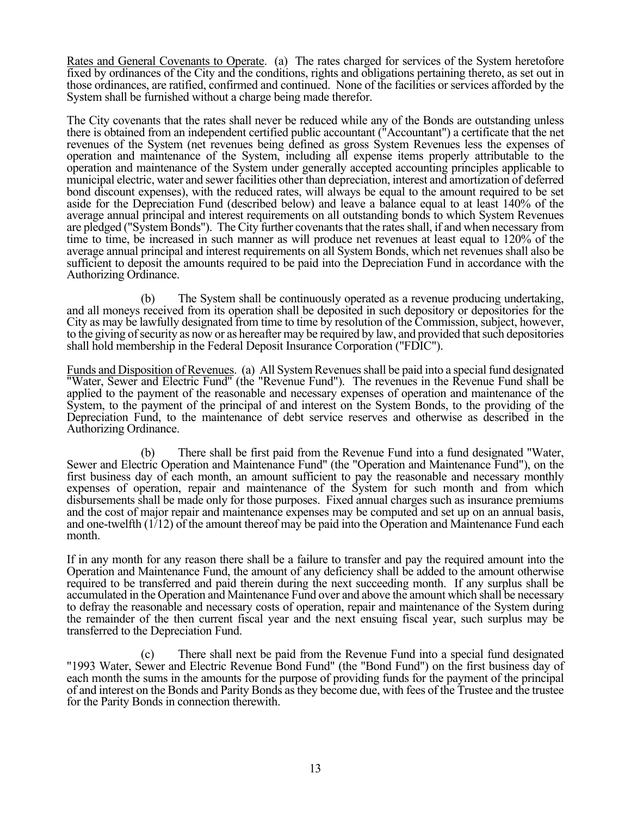Rates and General Covenants to Operate. (a) The rates charged for services of the System heretofore fixed by ordinances of the City and the conditions, rights and obligations pertaining thereto, as set out in those ordinances, are ratified, confirmed and continued. None of the facilities or services afforded by the System shall be furnished without a charge being made therefor.

The City covenants that the rates shall never be reduced while any of the Bonds are outstanding unless there is obtained from an independent certified public accountant ("Accountant") a certificate that the net revenues of the System (net revenues being defined as gross System Revenues less the expenses of operation and maintenance of the System, including all expense items properly attributable to the operation and maintenance of the System under generally accepted accounting principles applicable to municipal electric, water and sewer facilities other than depreciation, interest and amortization of deferred bond discount expenses), with the reduced rates, will always be equal to the amount required to be set aside for the Depreciation Fund (described below) and leave a balance equal to at least 140% of the average annual principal and interest requirements on all outstanding bonds to which System Revenues are pledged ("System Bonds"). The City further covenants that the rates shall, if and when necessary from time to time, be increased in such manner as will produce net revenues at least equal to 120% of the average annual principal and interest requirements on all System Bonds, which net revenues shall also be sufficient to deposit the amounts required to be paid into the Depreciation Fund in accordance with the Authorizing Ordinance.

 (b) The System shall be continuously operated as a revenue producing undertaking, and all moneys received from its operation shall be deposited in such depository or depositories for the City as may be lawfully designated from time to time by resolution of the Commission, subject, however, to the giving of security as now or as hereafter may be required by law, and provided that such depositories shall hold membership in the Federal Deposit Insurance Corporation ("FDIC").

Funds and Disposition of Revenues. (a) All System Revenues shall be paid into a special fund designated "Water, Sewer and Electric Fund" (the "Revenue Fund"). The revenues in the Revenue Fund shall be applied to the payment of the reasonable and necessary expenses of operation and maintenance of the System, to the payment of the principal of and interest on the System Bonds, to the providing of the Depreciation Fund, to the maintenance of debt service reserves and otherwise as described in the Authorizing Ordinance.

 (b) There shall be first paid from the Revenue Fund into a fund designated "Water, Sewer and Electric Operation and Maintenance Fund" (the "Operation and Maintenance Fund"), on the first business day of each month, an amount sufficient to pay the reasonable and necessary monthly expenses of operation, repair and maintenance of the System for such month and from which disbursements shall be made only for those purposes. Fixed annual charges such as insurance premiums and the cost of major repair and maintenance expenses may be computed and set up on an annual basis, and one-twelfth (1/12) of the amount thereof may be paid into the Operation and Maintenance Fund each month.

If in any month for any reason there shall be a failure to transfer and pay the required amount into the Operation and Maintenance Fund, the amount of any deficiency shall be added to the amount otherwise required to be transferred and paid therein during the next succeeding month. If any surplus shall be accumulated in the Operation and Maintenance Fund over and above the amount which shall be necessary to defray the reasonable and necessary costs of operation, repair and maintenance of the System during the remainder of the then current fiscal year and the next ensuing fiscal year, such surplus may be transferred to the Depreciation Fund.

 (c) There shall next be paid from the Revenue Fund into a special fund designated "1993 Water, Sewer and Electric Revenue Bond Fund" (the "Bond Fund") on the first business day of each month the sums in the amounts for the purpose of providing funds for the payment of the principal of and interest on the Bonds and Parity Bonds as they become due, with fees of the Trustee and the trustee for the Parity Bonds in connection therewith.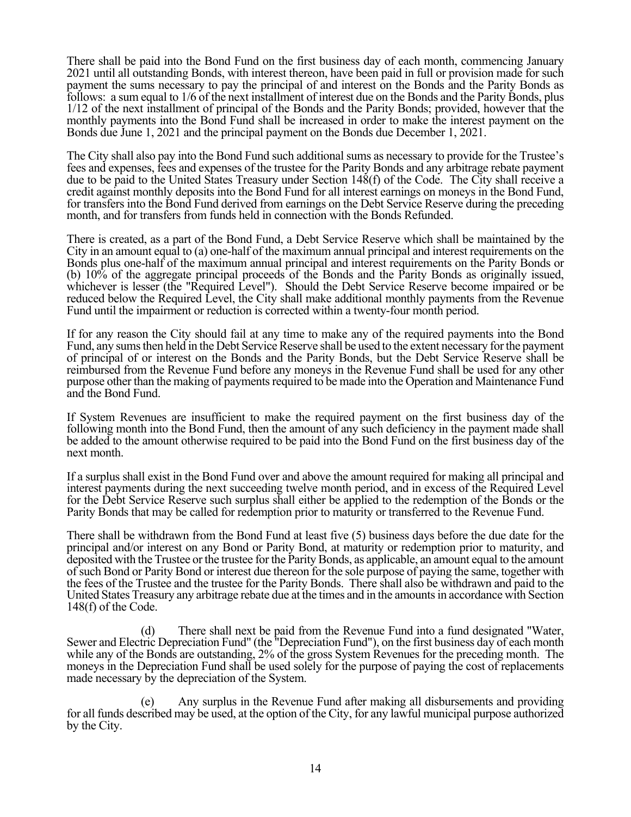There shall be paid into the Bond Fund on the first business day of each month, commencing January 2021 until all outstanding Bonds, with interest thereon, have been paid in full or provision made for such payment the sums necessary to pay the principal of and interest on the Bonds and the Parity Bonds as follows: a sum equal to 1/6 of the next installment of interest due on the Bonds and the Parity Bonds, plus 1/12 of the next installment of principal of the Bonds and the Parity Bonds; provided, however that the monthly payments into the Bond Fund shall be increased in order to make the interest payment on the Bonds due June 1, 2021 and the principal payment on the Bonds due December 1, 2021.

The City shall also pay into the Bond Fund such additional sums as necessary to provide for the Trustee's fees and expenses, fees and expenses of the trustee for the Parity Bonds and any arbitrage rebate payment due to be paid to the United States Treasury under Section 148(f) of the Code. The City shall receive a credit against monthly deposits into the Bond Fund for all interest earnings on moneys in the Bond Fund, for transfers into the Bond Fund derived from earnings on the Debt Service Reserve during the preceding month, and for transfers from funds held in connection with the Bonds Refunded.

There is created, as a part of the Bond Fund, a Debt Service Reserve which shall be maintained by the City in an amount equal to (a) one-half of the maximum annual principal and interest requirements on the Bonds plus one-half of the maximum annual principal and interest requirements on the Parity Bonds or (b) 10% of the aggregate principal proceeds of the Bonds and the Parity Bonds as originally issued, whichever is lesser (the "Required Level"). Should the Debt Service Reserve become impaired or be reduced below the Required Level, the City shall make additional monthly payments from the Revenue Fund until the impairment or reduction is corrected within a twenty-four month period.

If for any reason the City should fail at any time to make any of the required payments into the Bond Fund, any sums then held in the Debt Service Reserve shall be used to the extent necessary for the payment of principal of or interest on the Bonds and the Parity Bonds, but the Debt Service Reserve shall be reimbursed from the Revenue Fund before any moneys in the Revenue Fund shall be used for any other purpose other than the making of payments required to be made into the Operation and Maintenance Fund and the Bond Fund.

If System Revenues are insufficient to make the required payment on the first business day of the following month into the Bond Fund, then the amount of any such deficiency in the payment made shall be added to the amount otherwise required to be paid into the Bond Fund on the first business day of the next month.

If a surplus shall exist in the Bond Fund over and above the amount required for making all principal and interest payments during the next succeeding twelve month period, and in excess of the Required Level for the Debt Service Reserve such surplus shall either be applied to the redemption of the Bonds or the Parity Bonds that may be called for redemption prior to maturity or transferred to the Revenue Fund.

There shall be withdrawn from the Bond Fund at least five (5) business days before the due date for the principal and/or interest on any Bond or Parity Bond, at maturity or redemption prior to maturity, and deposited with the Trustee or the trustee for the Parity Bonds, as applicable, an amount equal to the amount of such Bond or Parity Bond or interest due thereon for the sole purpose of paying the same, together with the fees of the Trustee and the trustee for the Parity Bonds. There shall also be withdrawn and paid to the United States Treasury any arbitrage rebate due at the times and in the amounts in accordance with Section 148(f) of the Code.

 (d) There shall next be paid from the Revenue Fund into a fund designated "Water, Sewer and Electric Depreciation Fund" (the "Depreciation Fund"), on the first business day of each month while any of the Bonds are outstanding, 2% of the gross System Revenues for the preceding month. The moneys in the Depreciation Fund shall be used solely for the purpose of paying the cost of replacements made necessary by the depreciation of the System.

 (e) Any surplus in the Revenue Fund after making all disbursements and providing for all funds described may be used, at the option of the City, for any lawful municipal purpose authorized by the City.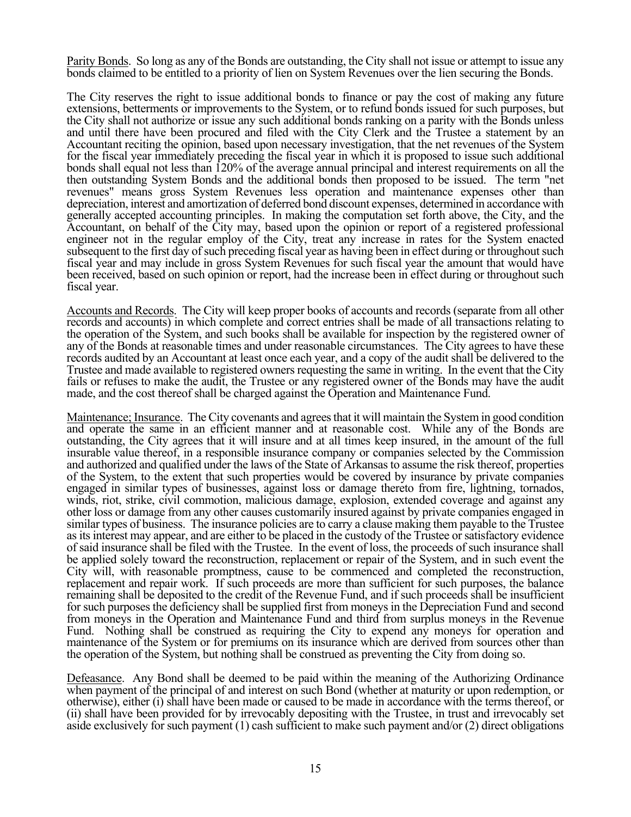Parity Bonds. So long as any of the Bonds are outstanding, the City shall not issue or attempt to issue any bonds claimed to be entitled to a priority of lien on System Revenues over the lien securing the Bonds.

The City reserves the right to issue additional bonds to finance or pay the cost of making any future extensions, betterments or improvements to the System, or to refund bonds issued for such purposes, but the City shall not authorize or issue any such additional bonds ranking on a parity with the Bonds unless and until there have been procured and filed with the City Clerk and the Trustee a statement by an Accountant reciting the opinion, based upon necessary investigation, that the net revenues of the System for the fiscal year immediately preceding the fiscal year in which it is proposed to issue such additional bonds shall equal not less than 120% of the average annual principal and interest requirements on all the then outstanding System Bonds and the additional bonds then proposed to be issued. The term "net revenues" means gross System Revenues less operation and maintenance expenses other than depreciation, interest and amortization of deferred bond discount expenses, determined in accordance with generally accepted accounting principles. In making the computation set forth above, the City, and the Accountant, on behalf of the City may, based upon the opinion or report of a registered professional engineer not in the regular employ of the City, treat any increase in rates for the System enacted subsequent to the first day of such preceding fiscal year as having been in effect during or throughout such fiscal year and may include in gross System Revenues for such fiscal year the amount that would have been received, based on such opinion or report, had the increase been in effect during or throughout such fiscal year.

Accounts and Records. The City will keep proper books of accounts and records (separate from all other records and accounts) in which complete and correct entries shall be made of all transactions relating to the operation of the System, and such books shall be available for inspection by the registered owner of any of the Bonds at reasonable times and under reasonable circumstances. The City agrees to have these records audited by an Accountant at least once each year, and a copy of the audit shall be delivered to the Trustee and made available to registered owners requesting the same in writing. In the event that the City fails or refuses to make the audit, the Trustee or any registered owner of the Bonds may have the audit made, and the cost thereof shall be charged against the Operation and Maintenance Fund.

Maintenance; Insurance. The City covenants and agrees that it will maintain the System in good condition and operate the same in an efficient manner and at reasonable cost. While any of the Bonds are outstanding, the City agrees that it will insure and at all times keep insured, in the amount of the full insurable value thereof, in a responsible insurance company or companies selected by the Commission and authorized and qualified under the laws of the State of Arkansas to assume the risk thereof, properties of the System, to the extent that such properties would be covered by insurance by private companies engaged in similar types of businesses, against loss or damage thereto from fire, lightning, tornados, winds, riot, strike, civil commotion, malicious damage, explosion, extended coverage and against any other loss or damage from any other causes customarily insured against by private companies engaged in similar types of business. The insurance policies are to carry a clause making them payable to the Trustee as its interest may appear, and are either to be placed in the custody of the Trustee or satisfactory evidence of said insurance shall be filed with the Trustee. In the event of loss, the proceeds of such insurance shall be applied solely toward the reconstruction, replacement or repair of the System, and in such event the City will, with reasonable promptness, cause to be commenced and completed the reconstruction, replacement and repair work. If such proceeds are more than sufficient for such purposes, the balance remaining shall be deposited to the credit of the Revenue Fund, and if such proceeds shall be insufficient for such purposes the deficiency shall be supplied first from moneys in the Depreciation Fund and second from moneys in the Operation and Maintenance Fund and third from surplus moneys in the Revenue Fund. Nothing shall be construed as requiring the City to expend any moneys for operation and maintenance of the System or for premiums on its insurance which are derived from sources other than the operation of the System, but nothing shall be construed as preventing the City from doing so.

Defeasance. Any Bond shall be deemed to be paid within the meaning of the Authorizing Ordinance when payment of the principal of and interest on such Bond (whether at maturity or upon redemption, or otherwise), either (i) shall have been made or caused to be made in accordance with the terms thereof, or (ii) shall have been provided for by irrevocably depositing with the Trustee, in trust and irrevocably set aside exclusively for such payment (1) cash sufficient to make such payment and/or (2) direct obligations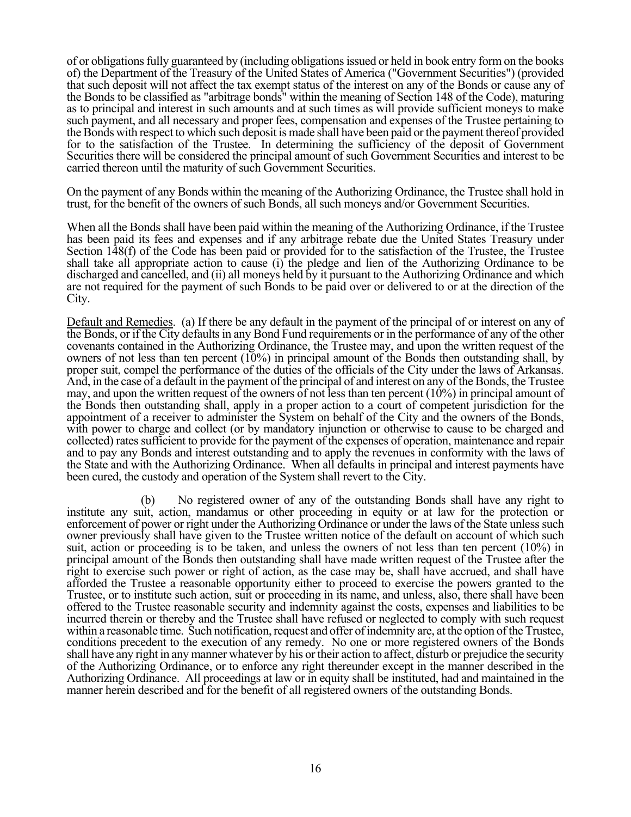of or obligations fully guaranteed by (including obligations issued or held in book entry form on the books of) the Department of the Treasury of the United States of America ("Government Securities") (provided that such deposit will not affect the tax exempt status of the interest on any of the Bonds or cause any of the Bonds to be classified as "arbitrage bonds" within the meaning of Section 148 of the Code), maturing as to principal and interest in such amounts and at such times as will provide sufficient moneys to make such payment, and all necessary and proper fees, compensation and expenses of the Trustee pertaining to the Bonds with respect to which such deposit is made shall have been paid or the payment thereof provided for to the satisfaction of the Trustee. In determining the sufficiency of the deposit of Government Securities there will be considered the principal amount of such Government Securities and interest to be carried thereon until the maturity of such Government Securities.

On the payment of any Bonds within the meaning of the Authorizing Ordinance, the Trustee shall hold in trust, for the benefit of the owners of such Bonds, all such moneys and/or Government Securities.

When all the Bonds shall have been paid within the meaning of the Authorizing Ordinance, if the Trustee has been paid its fees and expenses and if any arbitrage rebate due the United States Treasury under Section 148(f) of the Code has been paid or provided for to the satisfaction of the Trustee, the Trustee shall take all appropriate action to cause (i) the pledge and lien of the Authorizing Ordinance to be discharged and cancelled, and (ii) all moneys held by it pursuant to the Authorizing Ordinance and which are not required for the payment of such Bonds to be paid over or delivered to or at the direction of the City.

Default and Remedies. (a) If there be any default in the payment of the principal of or interest on any of the Bonds, or if the City defaults in any Bond Fund requirements or in the performance of any of the other covenants contained in the Authorizing Ordinance, the Trustee may, and upon the written request of the owners of not less than ten percent  $(10%)$  in principal amount of the Bonds then outstanding shall, by proper suit, compel the performance of the duties of the officials of the City under the laws of Arkansas. And, in the case of a default in the payment of the principal of and interest on any of the Bonds, the Trustee may, and upon the written request of the owners of not less than ten percent  $(10\%)$  in principal amount of the Bonds then outstanding shall, apply in a proper action to a court of competent jurisdiction for the appointment of a receiver to administer the System on behalf of the City and the owners of the Bonds, with power to charge and collect (or by mandatory injunction or otherwise to cause to be charged and collected) rates sufficient to provide for the payment of the expenses of operation, maintenance and repair and to pay any Bonds and interest outstanding and to apply the revenues in conformity with the laws of the State and with the Authorizing Ordinance. When all defaults in principal and interest payments have been cured, the custody and operation of the System shall revert to the City.

 (b) No registered owner of any of the outstanding Bonds shall have any right to institute any suit, action, mandamus or other proceeding in equity or at law for the protection or enforcement of power or right under the Authorizing Ordinance or under the laws of the State unless such owner previously shall have given to the Trustee written notice of the default on account of which such suit, action or proceeding is to be taken, and unless the owners of not less than ten percent (10%) in principal amount of the Bonds then outstanding shall have made written request of the Trustee after the right to exercise such power or right of action, as the case may be, shall have accrued, and shall have afforded the Trustee a reasonable opportunity either to proceed to exercise the powers granted to the Trustee, or to institute such action, suit or proceeding in its name, and unless, also, there shall have been offered to the Trustee reasonable security and indemnity against the costs, expenses and liabilities to be incurred therein or thereby and the Trustee shall have refused or neglected to comply with such request within a reasonable time. Such notification, request and offer of indemnity are, at the option of the Trustee, conditions precedent to the execution of any remedy. No one or more registered owners of the Bonds shall have any right in any manner whatever by his or their action to affect, disturb or prejudice the security of the Authorizing Ordinance, or to enforce any right thereunder except in the manner described in the Authorizing Ordinance. All proceedings at law or in equity shall be instituted, had and maintained in the manner herein described and for the benefit of all registered owners of the outstanding Bonds.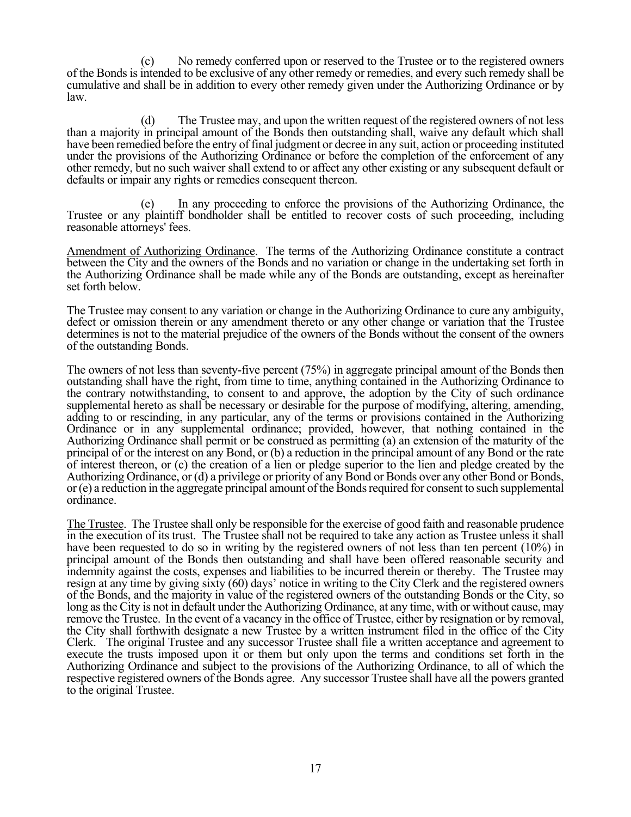(c) No remedy conferred upon or reserved to the Trustee or to the registered owners of the Bonds is intended to be exclusive of any other remedy or remedies, and every such remedy shall be cumulative and shall be in addition to every other remedy given under the Authorizing Ordinance or by law.

 (d) The Trustee may, and upon the written request of the registered owners of not less than a majority in principal amount of the Bonds then outstanding shall, waive any default which shall have been remedied before the entry of final judgment or decree in any suit, action or proceeding instituted under the provisions of the Authorizing Ordinance or before the completion of the enforcement of any other remedy, but no such waiver shall extend to or affect any other existing or any subsequent default or defaults or impair any rights or remedies consequent thereon.

In any proceeding to enforce the provisions of the Authorizing Ordinance, the Trustee or any plaintiff bondholder shall be entitled to recover costs of such proceeding, including reasonable attorneys' fees.

Amendment of Authorizing Ordinance. The terms of the Authorizing Ordinance constitute a contract between the City and the owners of the Bonds and no variation or change in the undertaking set forth in the Authorizing Ordinance shall be made while any of the Bonds are outstanding, except as hereinafter set forth below.

The Trustee may consent to any variation or change in the Authorizing Ordinance to cure any ambiguity, defect or omission therein or any amendment thereto or any other change or variation that the Trustee determines is not to the material prejudice of the owners of the Bonds without the consent of the owners of the outstanding Bonds.

The owners of not less than seventy-five percent (75%) in aggregate principal amount of the Bonds then outstanding shall have the right, from time to time, anything contained in the Authorizing Ordinance to the contrary notwithstanding, to consent to and approve, the adoption by the City of such ordinance supplemental hereto as shall be necessary or desirable for the purpose of modifying, altering, amending, adding to or rescinding, in any particular, any of the terms or provisions contained in the Authorizing Ordinance or in any supplemental ordinance; provided, however, that nothing contained in the Authorizing Ordinance shall permit or be construed as permitting (a) an extension of the maturity of the principal of or the interest on any Bond, or (b) a reduction in the principal amount of any Bond or the rate of interest thereon, or (c) the creation of a lien or pledge superior to the lien and pledge created by the Authorizing Ordinance, or (d) a privilege or priority of any Bond or Bonds over any other Bond or Bonds, or (e) a reduction in the aggregate principal amount of the Bonds required for consent to such supplemental ordinance.

The Trustee. The Trustee shall only be responsible for the exercise of good faith and reasonable prudence in the execution of its trust. The Trustee shall not be required to take any action as Trustee unless it shall have been requested to do so in writing by the registered owners of not less than ten percent (10%) in principal amount of the Bonds then outstanding and shall have been offered reasonable security and indemnity against the costs, expenses and liabilities to be incurred therein or thereby. The Trustee may resign at any time by giving sixty (60) days' notice in writing to the City Clerk and the registered owners of the Bonds, and the majority in value of the registered owners of the outstanding Bonds or the City, so long as the City is not in default under the Authorizing Ordinance, at any time, with or without cause, may remove the Trustee. In the event of a vacancy in the office of Trustee, either by resignation or by removal, the City shall forthwith designate a new Trustee by a written instrument filed in the office of the City Clerk. The original Trustee and any successor Trustee shall file a written acceptance and agreement to execute the trusts imposed upon it or them but only upon the terms and conditions set forth in the Authorizing Ordinance and subject to the provisions of the Authorizing Ordinance, to all of which the respective registered owners of the Bonds agree. Any successor Trustee shall have all the powers granted to the original Trustee.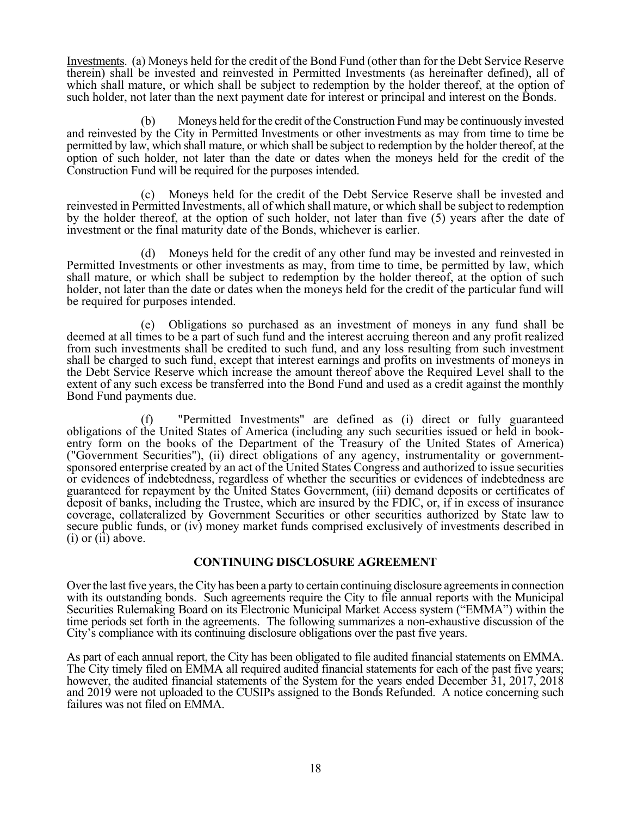Investments. (a) Moneys held for the credit of the Bond Fund (other than for the Debt Service Reserve therein) shall be invested and reinvested in Permitted Investments (as hereinafter defined), all of which shall mature, or which shall be subject to redemption by the holder thereof, at the option of such holder, not later than the next payment date for interest or principal and interest on the Bonds.

 (b) Moneys held for the credit of the Construction Fund may be continuously invested and reinvested by the City in Permitted Investments or other investments as may from time to time be permitted by law, which shall mature, or which shall be subject to redemption by the holder thereof, at the option of such holder, not later than the date or dates when the moneys held for the credit of the Construction Fund will be required for the purposes intended.

 (c) Moneys held for the credit of the Debt Service Reserve shall be invested and reinvested in Permitted Investments, all of which shall mature, or which shall be subject to redemption by the holder thereof, at the option of such holder, not later than five (5) years after the date of investment or the final maturity date of the Bonds, whichever is earlier.

 (d) Moneys held for the credit of any other fund may be invested and reinvested in Permitted Investments or other investments as may, from time to time, be permitted by law, which shall mature, or which shall be subject to redemption by the holder thereof, at the option of such holder, not later than the date or dates when the moneys held for the credit of the particular fund will be required for purposes intended.

 (e) Obligations so purchased as an investment of moneys in any fund shall be deemed at all times to be a part of such fund and the interest accruing thereon and any profit realized from such investments shall be credited to such fund, and any loss resulting from such investment shall be charged to such fund, except that interest earnings and profits on investments of moneys in the Debt Service Reserve which increase the amount thereof above the Required Level shall to the extent of any such excess be transferred into the Bond Fund and used as a credit against the monthly Bond Fund payments due.

 (f) "Permitted Investments" are defined as (i) direct or fully guaranteed obligations of the United States of America (including any such securities issued or held in bookentry form on the books of the Department of the Treasury of the United States of America) ("Government Securities"), (ii) direct obligations of any agency, instrumentality or governmentsponsored enterprise created by an act of the United States Congress and authorized to issue securities or evidences of indebtedness, regardless of whether the securities or evidences of indebtedness are guaranteed for repayment by the United States Government, (iii) demand deposits or certificates of deposit of banks, including the Trustee, which are insured by the FDIC, or, if in excess of insurance coverage, collateralized by Government Securities or other securities authorized by State law to secure public funds, or (iv) money market funds comprised exclusively of investments described in  $(i)$  or  $(ii)$  above.

### **CONTINUING DISCLOSURE AGREEMENT**

Over the last five years, the City has been a party to certain continuing disclosure agreements in connection with its outstanding bonds. Such agreements require the City to file annual reports with the Municipal Securities Rulemaking Board on its Electronic Municipal Market Access system ("EMMA") within the time periods set forth in the agreements. The following summarizes a non-exhaustive discussion of the City's compliance with its continuing disclosure obligations over the past five years.

As part of each annual report, the City has been obligated to file audited financial statements on EMMA. The City timely filed on EMMA all required audited financial statements for each of the past five years; however, the audited financial statements of the System for the years ended December 31, 2017, 2018 and 2019 were not uploaded to the CUSIPs assigned to the Bonds Refunded. A notice concerning such failures was not filed on EMMA.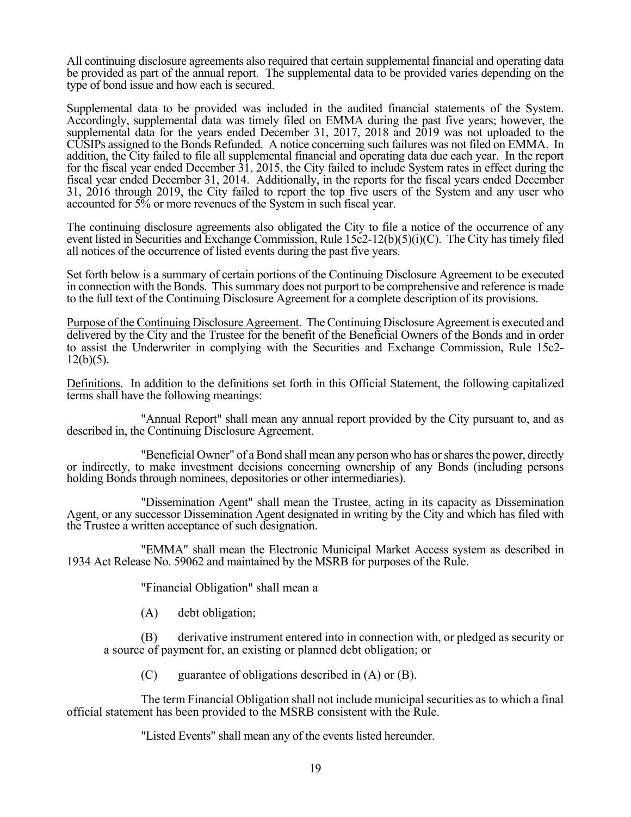All continuing disclosure agreements also required that certain supplemental financial and operating data be provided as part of the annual report. The supplemental data to be provided varies depending on the type of bond issue and how each is secured.

Supplemental data to be provided was included in the audited financial statements of the System. Accordingly, supplemental data was timely filed on EMMA during the past five years; however, the supplemental data for the years ended December 31, 2017, 2018 and 2019 was not uploaded to the CUSIPs assigned to the Bonds Refunded. A notice concerning such failures was not filed on EMMA. In addition, the City failed to file all supplemental financial and operating data due each year. In the report for the fiscal year ended December 31, 2015, the City failed to include System rates in effect during the fiscal year ended December 31, 2014. Additionally, in the reports for the fiscal years ended December 31, 2016 through 2019, the City failed to report the top five users of the System and any user who accounted for 5% or more revenues of the System in such fiscal year.

The continuing disclosure agreements also obligated the City to file a notice of the occurrence of any event listed in Securities and Exchange Commission, Rule 15c2-12(b)(5)(i)(C). The City has timely filed all notices of the occurrence of listed events during the past five years.

Set forth below is a summary of certain portions of the Continuing Disclosure Agreement to be executed in connection with the Bonds. This summary does not purport to be comprehensive and reference is made to the full text of the Continuing Disclosure Agreement for a complete description of its provisions.

Purpose of the Continuing Disclosure Agreement. The Continuing Disclosure Agreement is executed and delivered by the City and the Trustee for the benefit of the Beneficial Owners of the Bonds and in order to assist the Underwriter in complying with the Securities and Exchange Commission, Rule 15c2-  $12(b)(5)$ .

Definitions. In addition to the definitions set forth in this Official Statement, the following capitalized terms shall have the following meanings:

 "Annual Report" shall mean any annual report provided by the City pursuant to, and as described in, the Continuing Disclosure Agreement.

 "Beneficial Owner" of a Bond shall mean any person who has or shares the power, directly or indirectly, to make investment decisions concerning ownership of any Bonds (including persons holding Bonds through nominees, depositories or other intermediaries).

 "Dissemination Agent" shall mean the Trustee, acting in its capacity as Dissemination Agent, or any successor Dissemination Agent designated in writing by the City and which has filed with the Trustee a written acceptance of such designation.

 "EMMA" shall mean the Electronic Municipal Market Access system as described in 1934 Act Release No. 59062 and maintained by the MSRB for purposes of the Rule.

"Financial Obligation" shall mean a

(A) debt obligation;

(B) derivative instrument entered into in connection with, or pledged as security or a source of payment for, an existing or planned debt obligation; or

 $(C)$  guarantee of obligations described in  $(A)$  or  $(B)$ .

The term Financial Obligation shall not include municipal securities as to which a final official statement has been provided to the MSRB consistent with the Rule.

"Listed Events" shall mean any of the events listed hereunder.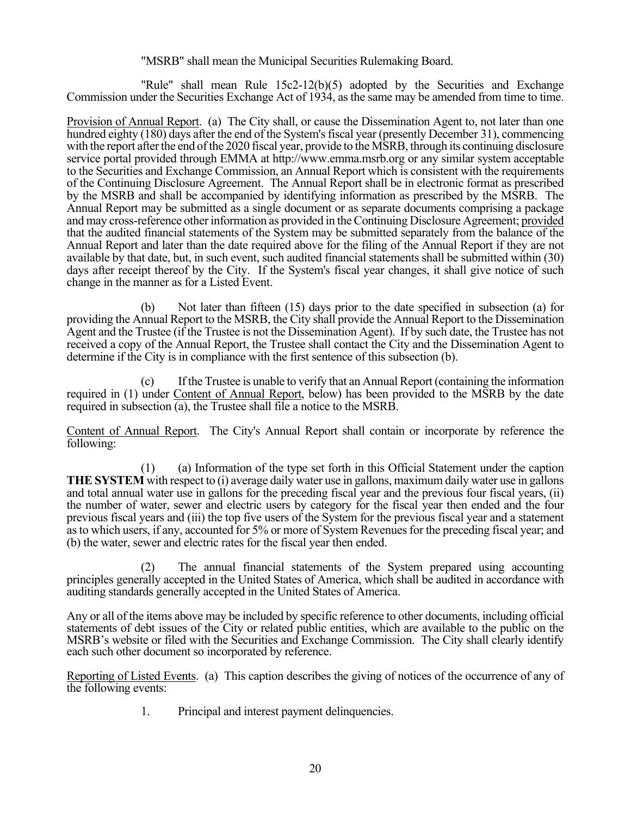#### "MSRB" shall mean the Municipal Securities Rulemaking Board.

 "Rule" shall mean Rule 15c2-12(b)(5) adopted by the Securities and Exchange Commission under the Securities Exchange Act of 1934, as the same may be amended from time to time.

Provision of Annual Report. (a) The City shall, or cause the Dissemination Agent to, not later than one hundred eighty (180) days after the end of the System's fiscal year (presently December 31), commencing with the report after the end of the 2020 fiscal year, provide to the MSRB, through its continuing disclosure service portal provided through EMMA at http://www.emma.msrb.org or any similar system acceptable to the Securities and Exchange Commission, an Annual Report which is consistent with the requirements of the Continuing Disclosure Agreement. The Annual Report shall be in electronic format as prescribed by the MSRB and shall be accompanied by identifying information as prescribed by the MSRB. The Annual Report may be submitted as a single document or as separate documents comprising a package and may cross-reference other information as provided in the Continuing Disclosure Agreement; provided that the audited financial statements of the System may be submitted separately from the balance of the Annual Report and later than the date required above for the filing of the Annual Report if they are not available by that date, but, in such event, such audited financial statements shall be submitted within (30) days after receipt thereof by the City. If the System's fiscal year changes, it shall give notice of such change in the manner as for a Listed Event.

 (b) Not later than fifteen (15) days prior to the date specified in subsection (a) for providing the Annual Report to the MSRB, the City shall provide the Annual Report to the Dissemination Agent and the Trustee (if the Trustee is not the Dissemination Agent). If by such date, the Trustee has not received a copy of the Annual Report, the Trustee shall contact the City and the Dissemination Agent to determine if the City is in compliance with the first sentence of this subsection (b).

 (c) If the Trustee is unable to verify that an Annual Report (containing the information required in (1) under Content of Annual Report, below) has been provided to the MSRB by the date required in subsection (a), the Trustee shall file a notice to the MSRB.

Content of Annual Report. The City's Annual Report shall contain or incorporate by reference the following:

 (1) (a) Information of the type set forth in this Official Statement under the caption **THE SYSTEM** with respect to (i) average daily water use in gallons, maximum daily water use in gallons and total annual water use in gallons for the preceding fiscal year and the previous four fiscal years, (ii) the number of water, sewer and electric users by category for the fiscal year then ended and the four previous fiscal years and (iii) the top five users of the System for the previous fiscal year and a statement as to which users, if any, accounted for 5% or more of System Revenues for the preceding fiscal year; and (b) the water, sewer and electric rates for the fiscal year then ended.

 (2) The annual financial statements of the System prepared using accounting principles generally accepted in the United States of America, which shall be audited in accordance with auditing standards generally accepted in the United States of America.

Any or all of the items above may be included by specific reference to other documents, including official statements of debt issues of the City or related public entities, which are available to the public on the MSRB's website or filed with the Securities and Exchange Commission. The City shall clearly identify each such other document so incorporated by reference.

Reporting of Listed Events. (a) This caption describes the giving of notices of the occurrence of any of the following events:

1. Principal and interest payment delinquencies.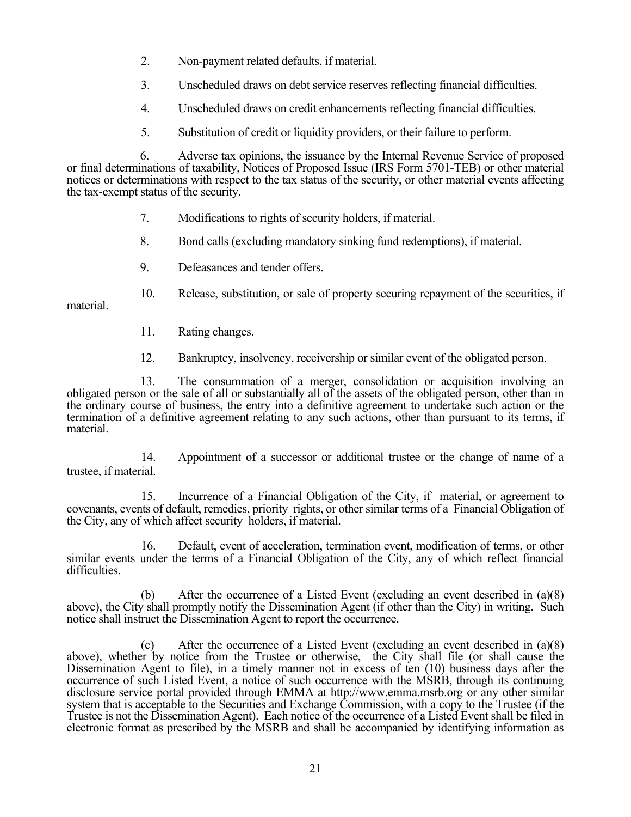- 2. Non-payment related defaults, if material.
- 3. Unscheduled draws on debt service reserves reflecting financial difficulties.
- 4. Unscheduled draws on credit enhancements reflecting financial difficulties.
- 5. Substitution of credit or liquidity providers, or their failure to perform.

6. Adverse tax opinions, the issuance by the Internal Revenue Service of proposed or final determinations of taxability, Notices of Proposed Issue (IRS Form 5701-TEB) or other material notices or determinations with respect to the tax status of the security, or other material events affecting the tax-exempt status of the security.

- 7. Modifications to rights of security holders, if material.
- 8. Bond calls (excluding mandatory sinking fund redemptions), if material.
- 9. Defeasances and tender offers.

10. Release, substitution, or sale of property securing repayment of the securities, if material.

- 11. Rating changes.
- 12. Bankruptcy, insolvency, receivership or similar event of the obligated person.

13. The consummation of a merger, consolidation or acquisition involving an obligated person or the sale of all or substantially all of the assets of the obligated person, other than in the ordinary course of business, the entry into a definitive agreement to undertake such action or the termination of a definitive agreement relating to any such actions, other than pursuant to its terms, if material.

 14. Appointment of a successor or additional trustee or the change of name of a trustee, if material.

15. Incurrence of a Financial Obligation of the City, if material, or agreement to covenants, events of default, remedies, priority rights, or other similar terms of a Financial Obligation of the City, any of which affect security holders, if material.

16. Default, event of acceleration, termination event, modification of terms, or other similar events under the terms of a Financial Obligation of the City, any of which reflect financial difficulties.

 (b) After the occurrence of a Listed Event (excluding an event described in (a)(8) above), the City shall promptly notify the Dissemination Agent (if other than the City) in writing. Such notice shall instruct the Dissemination Agent to report the occurrence.

(c) After the occurrence of a Listed Event (excluding an event described in  $(a)(8)$ above), whether by notice from the Trustee or otherwise, the City shall file (or shall cause the Dissemination Agent to file), in a timely manner not in excess of ten (10) business days after the occurrence of such Listed Event, a notice of such occurrence with the MSRB, through its continuing disclosure service portal provided through EMMA at http://www.emma.msrb.org or any other similar system that is acceptable to the Securities and Exchange Commission, with a copy to the Trustee (if the Trustee is not the Dissemination Agent). Each notice of the occurrence of a Listed Event shall be filed in electronic format as prescribed by the MSRB and shall be accompanied by identifying information as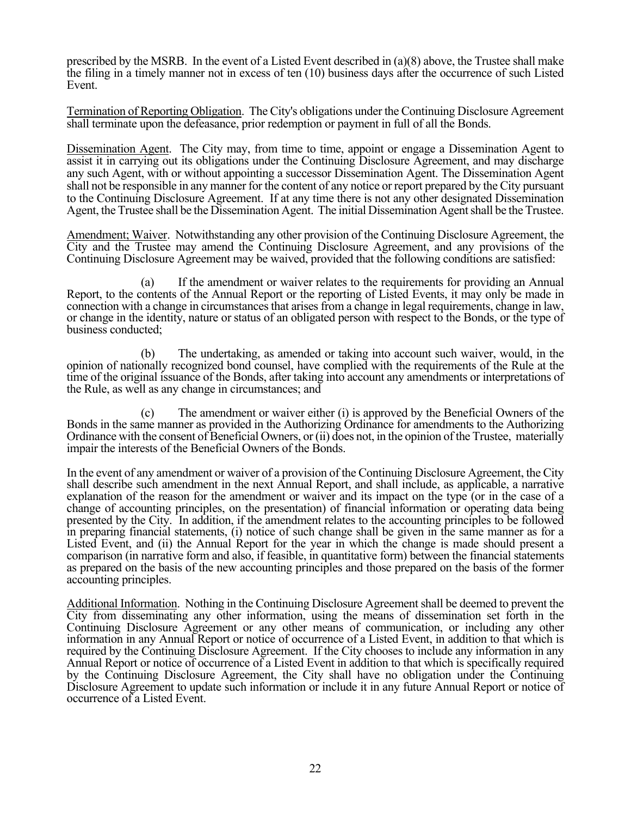prescribed by the MSRB. In the event of a Listed Event described in (a)(8) above, the Trustee shall make the filing in a timely manner not in excess of ten (10) business days after the occurrence of such Listed Event.

Termination of Reporting Obligation. The City's obligations under the Continuing Disclosure Agreement shall terminate upon the defeasance, prior redemption or payment in full of all the Bonds.

Dissemination Agent. The City may, from time to time, appoint or engage a Dissemination Agent to assist it in carrying out its obligations under the Continuing Disclosure Agreement, and may discharge any such Agent, with or without appointing a successor Dissemination Agent. The Dissemination Agent shall not be responsible in any manner for the content of any notice or report prepared by the City pursuant to the Continuing Disclosure Agreement. If at any time there is not any other designated Dissemination Agent, the Trustee shall be the Dissemination Agent. The initial Dissemination Agent shall be the Trustee.

Amendment; Waiver. Notwithstanding any other provision of the Continuing Disclosure Agreement, the City and the Trustee may amend the Continuing Disclosure Agreement, and any provisions of the Continuing Disclosure Agreement may be waived, provided that the following conditions are satisfied:

 (a) If the amendment or waiver relates to the requirements for providing an Annual Report, to the contents of the Annual Report or the reporting of Listed Events, it may only be made in connection with a change in circumstances that arises from a change in legal requirements, change in law, or change in the identity, nature or status of an obligated person with respect to the Bonds, or the type of business conducted;

 (b) The undertaking, as amended or taking into account such waiver, would, in the opinion of nationally recognized bond counsel, have complied with the requirements of the Rule at the time of the original issuance of the Bonds, after taking into account any amendments or interpretations of the Rule, as well as any change in circumstances; and

 (c) The amendment or waiver either (i) is approved by the Beneficial Owners of the Bonds in the same manner as provided in the Authorizing Ordinance for amendments to the Authorizing Ordinance with the consent of Beneficial Owners, or (ii) does not, in the opinion of the Trustee, materially impair the interests of the Beneficial Owners of the Bonds.

In the event of any amendment or waiver of a provision of the Continuing Disclosure Agreement, the City shall describe such amendment in the next Annual Report, and shall include, as applicable, a narrative explanation of the reason for the amendment or waiver and its impact on the type (or in the case of a change of accounting principles, on the presentation) of financial information or operating data being presented by the City. In addition, if the amendment relates to the accounting principles to be followed in preparing financial statements, (i) notice of such change shall be given in the same manner as for a Listed Event, and (ii) the Annual Report for the year in which the change is made should present a comparison (in narrative form and also, if feasible, in quantitative form) between the financial statements as prepared on the basis of the new accounting principles and those prepared on the basis of the former accounting principles.

Additional Information. Nothing in the Continuing Disclosure Agreement shall be deemed to prevent the City from disseminating any other information, using the means of dissemination set forth in the Continuing Disclosure Agreement or any other means of communication, or including any other information in any Annual Report or notice of occurrence of a Listed Event, in addition to that which is required by the Continuing Disclosure Agreement. If the City chooses to include any information in any Annual Report or notice of occurrence of a Listed Event in addition to that which is specifically required by the Continuing Disclosure Agreement, the City shall have no obligation under the Continuing Disclosure Agreement to update such information or include it in any future Annual Report or notice of occurrence of a Listed Event.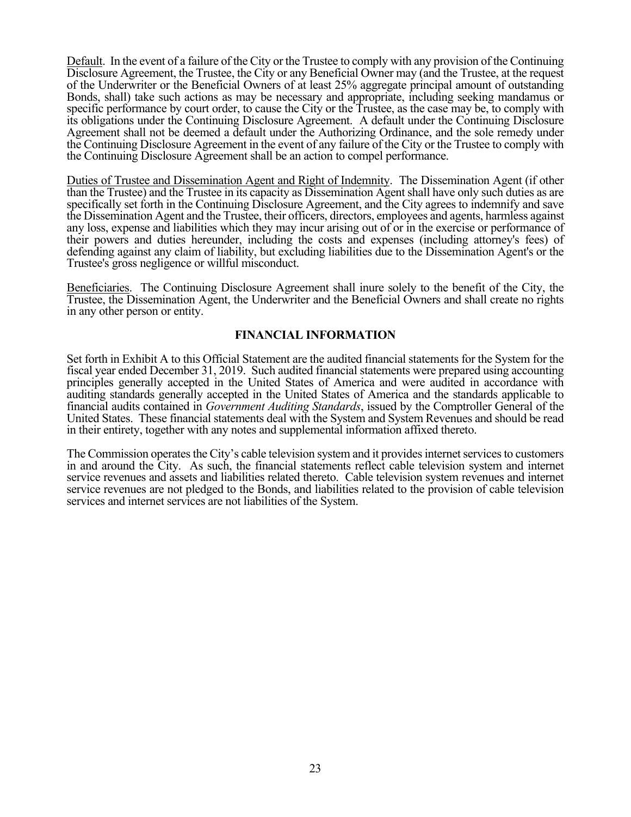Default. In the event of a failure of the City or the Trustee to comply with any provision of the Continuing Disclosure Agreement, the Trustee, the City or any Beneficial Owner may (and the Trustee, at the request of the Underwriter or the Beneficial Owners of at least 25% aggregate principal amount of outstanding Bonds, shall) take such actions as may be necessary and appropriate, including seeking mandamus or specific performance by court order, to cause the City or the Trustee, as the case may be, to comply with its obligations under the Continuing Disclosure Agreement. A default under the Continuing Disclosure Agreement shall not be deemed a default under the Authorizing Ordinance, and the sole remedy under the Continuing Disclosure Agreement in the event of any failure of the City or the Trustee to comply with the Continuing Disclosure Agreement shall be an action to compel performance.

Duties of Trustee and Dissemination Agent and Right of Indemnity. The Dissemination Agent (if other than the Trustee) and the Trustee in its capacity as Dissemination Agent shall have only such duties as are specifically set forth in the Continuing Disclosure Agreement, and the City agrees to indemnify and save the Dissemination Agent and the Trustee, their officers, directors, employees and agents, harmless against any loss, expense and liabilities which they may incur arising out of or in the exercise or performance of their powers and duties hereunder, including the costs and expenses (including attorney's fees) of defending against any claim of liability, but excluding liabilities due to the Dissemination Agent's or the Trustee's gross negligence or willful misconduct.

Beneficiaries. The Continuing Disclosure Agreement shall inure solely to the benefit of the City, the Trustee, the Dissemination Agent, the Underwriter and the Beneficial Owners and shall create no rights in any other person or entity.

### **FINANCIAL INFORMATION**

Set forth in Exhibit A to this Official Statement are the audited financial statements for the System for the fiscal year ended December 31, 2019. Such audited financial statements were prepared using accounting principles generally accepted in the United States of America and were audited in accordance with auditing standards generally accepted in the United States of America and the standards applicable to financial audits contained in *Government Auditing Standards*, issued by the Comptroller General of the United States. These financial statements deal with the System and System Revenues and should be read in their entirety, together with any notes and supplemental information affixed thereto.

The Commission operates the City's cable television system and it provides internet services to customers in and around the City. As such, the financial statements reflect cable television system and internet service revenues and assets and liabilities related thereto. Cable television system revenues and internet service revenues are not pledged to the Bonds, and liabilities related to the provision of cable television services and internet services are not liabilities of the System.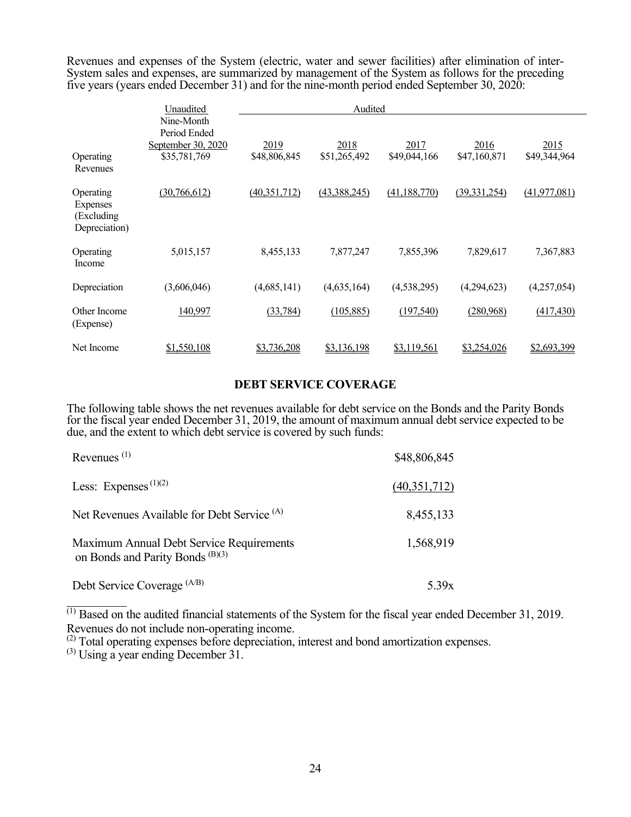Revenues and expenses of the System (electric, water and sewer facilities) after elimination of inter-System sales and expenses, are summarized by management of the System as follows for the preceding five years (years ended December 31) and for the nine-month period ended September 30, 2020:

|                                                             | Unaudited                                                        | Audited              |                      |                      |                      |                      |  |  |
|-------------------------------------------------------------|------------------------------------------------------------------|----------------------|----------------------|----------------------|----------------------|----------------------|--|--|
| Operating<br>Revenues                                       | Nine-Month<br>Period Ended<br>September 30, 2020<br>\$35,781,769 | 2019<br>\$48,806,845 | 2018<br>\$51,265,492 | 2017<br>\$49,044,166 | 2016<br>\$47,160,871 | 2015<br>\$49,344,964 |  |  |
| Operating<br><b>Expenses</b><br>(Excluding<br>Depreciation) | (30,766,612)                                                     | (40, 351, 712)       | (43,388,245)         | (41, 188, 770)       | (39, 331, 254)       | (41, 977, 081)       |  |  |
| Operating<br>Income                                         | 5,015,157                                                        | 8,455,133            | 7,877,247            | 7,855,396            | 7,829,617            | 7,367,883            |  |  |
| Depreciation                                                | (3,606,046)                                                      | (4,685,141)          | (4,635,164)          | (4,538,295)          | (4,294,623)          | (4,257,054)          |  |  |
| Other Income<br>(Expense)                                   | 140,997                                                          | (33, 784)            | (105, 885)           | (197,540)            | (280,968)            | (417, 430)           |  |  |
| Net Income                                                  | \$1,550,108                                                      | \$3,736,208          | \$3,136,198          | \$3,119,561          | \$3,254,026          | \$2,693,399          |  |  |

#### **DEBT SERVICE COVERAGE**

The following table shows the net revenues available for debt service on the Bonds and the Parity Bonds for the fiscal year ended December 31, 2019, the amount of maximum annual debt service expected to be due, and the extent to which debt service is covered by such funds:

| Revenues $(1)$                                                                          | \$48,806,845 |
|-----------------------------------------------------------------------------------------|--------------|
| Less: Expenses $(1)(2)$                                                                 | (40,351,712) |
| Net Revenues Available for Debt Service <sup>(A)</sup>                                  | 8,455,133    |
| Maximum Annual Debt Service Requirements<br>on Bonds and Parity Bonds <sup>(B)(3)</sup> | 1,568,919    |
| Debt Service Coverage (A/B)                                                             | 5.39x        |

 $\overline{^{(1)}\text{Based on}}$  the audited financial statements of the System for the fiscal year ended December 31, 2019. Revenues do not include non-operating income.

(2) Total operating expenses before depreciation, interest and bond amortization expenses. (3) Using a year ending December 31.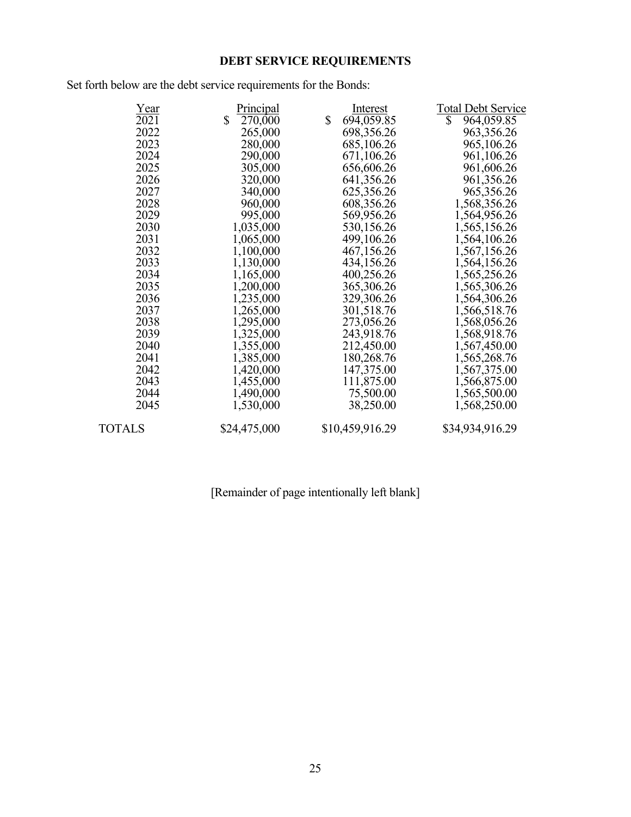# **DEBT SERVICE REQUIREMENTS**

Set forth below are the debt service requirements for the Bonds:

| Year          | Principal     | Interest         | <b>Total Debt Service</b> |
|---------------|---------------|------------------|---------------------------|
| $\sqrt{2021}$ | \$<br>270,000 | \$<br>694,059.85 | \$<br>964,059.85          |
| 2022          | 265,000       | 698,356.26       | 963, 356. 26              |
| 2023          | 280,000       | 685,106.26       | 965,106.26                |
| 2024          | 290,000       | 671,106.26       | 961,106.26                |
| 2025          | 305,000       | 656,606.26       | 961,606.26                |
| 2026          | 320,000       | 641,356.26       | 961,356.26                |
| 2027          | 340,000       | 625,356.26       | 965, 356. 26              |
| 2028          | 960,000       | 608,356.26       | 1,568,356.26              |
| 2029          | 995,000       | 569,956.26       | 1,564,956.26              |
| 2030          | 1,035,000     | 530,156.26       | 1,565,156.26              |
| 2031          | 1,065,000     | 499,106.26       | 1,564,106.26              |
| 2032          | 1,100,000     | 467,156.26       | 1,567,156.26              |
| 2033          | 1,130,000     | 434,156.26       | 1,564,156.26              |
| 2034          | 1,165,000     | 400,256.26       | 1,565,256.26              |
| 2035          | 1,200,000     | 365,306.26       | 1,565,306.26              |
| 2036          | 1,235,000     | 329,306.26       | 1,564,306.26              |
| 2037          | 1,265,000     | 301,518.76       | 1,566,518.76              |
| 2038          | 1,295,000     | 273,056.26       | 1,568,056.26              |
| 2039          | 1,325,000     | 243,918.76       | 1,568,918.76              |
| 2040          | 1,355,000     | 212,450.00       | 1,567,450.00              |
| 2041          | 1,385,000     | 180,268.76       | 1,565,268.76              |
| 2042          | 1,420,000     | 147,375.00       | 1,567,375.00              |
| 2043          | 1,455,000     | 111,875.00       | 1,566,875.00              |
| 2044          | 1,490,000     | 75,500.00        | 1,565,500.00              |
| 2045          | 1,530,000     | 38,250.00        | 1,568,250.00              |
| TOTALS        | \$24,475,000  | \$10,459,916.29  | \$34,934,916.29           |
|               |               |                  |                           |

# [Remainder of page intentionally left blank]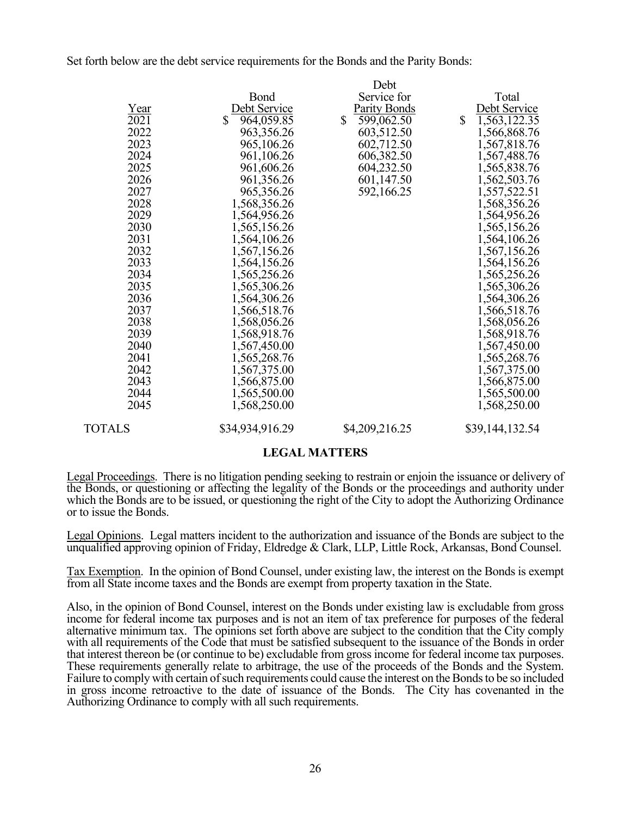Set forth below are the debt service requirements for the Bonds and the Parity Bonds:

|        |                  | Debt                       |              |                 |
|--------|------------------|----------------------------|--------------|-----------------|
|        | Bond             | Service for                |              | Total           |
| Year   | Debt Service     | Parity Bonds               |              | Debt Service    |
| 2021   | \$<br>964,059.85 | $\mathbb{S}$<br>599,062.50 | $\mathbb{S}$ | 1,563,122.35    |
| 2022   | 963,356.26       | 603,512.50                 |              | 1,566,868.76    |
| 2023   | 965,106.26       | 602,712.50                 |              | 1,567,818.76    |
| 2024   | 961,106.26       | 606,382.50                 |              | 1,567,488.76    |
| 2025   | 961,606.26       | 604,232.50                 |              | 1,565,838.76    |
| 2026   | 961,356.26       | 601,147.50                 |              | 1,562,503.76    |
| 2027   | 965,356.26       | 592,166.25                 |              | 1,557,522.51    |
| 2028   | 1,568,356.26     |                            |              | 1,568,356.26    |
| 2029   | 1,564,956.26     |                            |              | 1,564,956.26    |
| 2030   | 1,565,156.26     |                            |              | 1,565,156.26    |
| 2031   | 1,564,106.26     |                            |              | 1,564,106.26    |
| 2032   | 1,567,156.26     |                            |              | 1,567,156.26    |
| 2033   | 1,564,156.26     |                            |              | 1,564,156.26    |
| 2034   | 1,565,256.26     |                            |              | 1,565,256.26    |
| 2035   | 1,565,306.26     |                            |              | 1,565,306.26    |
| 2036   | 1,564,306.26     |                            |              | 1,564,306.26    |
| 2037   | 1,566,518.76     |                            |              | 1,566,518.76    |
| 2038   | 1,568,056.26     |                            |              | 1,568,056.26    |
| 2039   | 1,568,918.76     |                            |              | 1,568,918.76    |
| 2040   | 1,567,450.00     |                            |              | 1,567,450.00    |
| 2041   | 1,565,268.76     |                            |              | 1,565,268.76    |
| 2042   | 1,567,375.00     |                            |              | 1,567,375.00    |
| 2043   | 1,566,875.00     |                            |              | 1,566,875.00    |
| 2044   | 1,565,500.00     |                            |              | 1,565,500.00    |
| 2045   | 1,568,250.00     |                            |              | 1,568,250.00    |
| TOTALS | \$34,934,916.29  | \$4,209,216.25             |              | \$39,144,132.54 |

#### **LEGAL MATTERS**

Legal Proceedings. There is no litigation pending seeking to restrain or enjoin the issuance or delivery of the Bonds, or questioning or affecting the legality of the Bonds or the proceedings and authority under which the Bonds are to be issued, or questioning the right of the City to adopt the Authorizing Ordinance or to issue the Bonds.

Legal Opinions. Legal matters incident to the authorization and issuance of the Bonds are subject to the unqualified approving opinion of Friday, Eldredge & Clark, LLP, Little Rock, Arkansas, Bond Counsel.

Tax Exemption. In the opinion of Bond Counsel, under existing law, the interest on the Bonds is exempt from all State income taxes and the Bonds are exempt from property taxation in the State.

Also, in the opinion of Bond Counsel, interest on the Bonds under existing law is excludable from gross income for federal income tax purposes and is not an item of tax preference for purposes of the federal alternative minimum tax. The opinions set forth above are subject to the condition that the City comply with all requirements of the Code that must be satisfied subsequent to the issuance of the Bonds in order that interest thereon be (or continue to be) excludable from gross income for federal income tax purposes. These requirements generally relate to arbitrage, the use of the proceeds of the Bonds and the System. Failure to comply with certain of such requirements could cause the interest on the Bonds to be so included in gross income retroactive to the date of issuance of the Bonds. The City has covenanted in the Authorizing Ordinance to comply with all such requirements.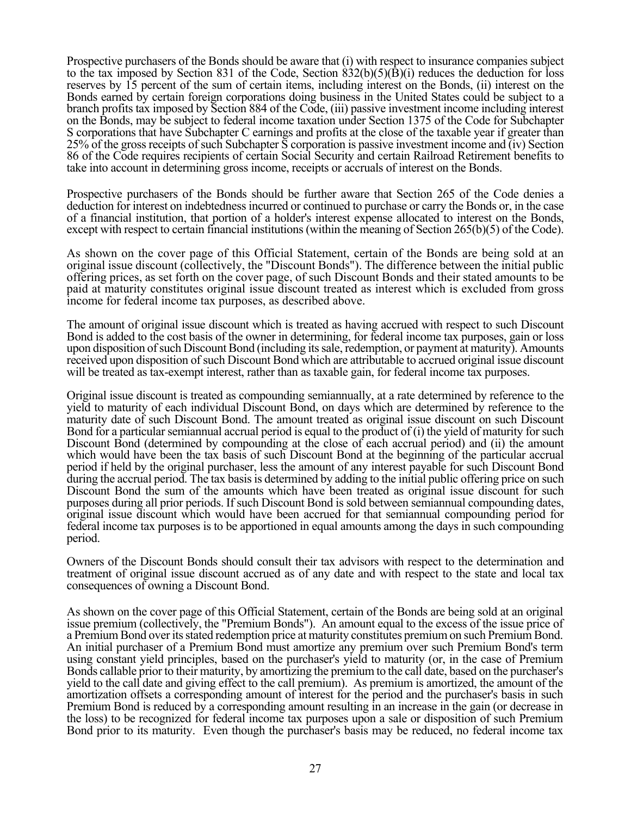Prospective purchasers of the Bonds should be aware that (i) with respect to insurance companies subject to the tax imposed by Section 831 of the Code, Section  $\frac{832(b)(5)(B)}{i}$  reduces the deduction for loss reserves by 15 percent of the sum of certain items, including interest on the Bonds, (ii) interest on the Bonds earned by certain foreign corporations doing business in the United States could be subject to a branch profits tax imposed by Section 884 of the Code, (iii) passive investment income including interest on the Bonds, may be subject to federal income taxation under Section 1375 of the Code for Subchapter S corporations that have Subchapter C earnings and profits at the close of the taxable year if greater than 25% of the gross receipts of such Subchapter S corporation is passive investment income and (iv) Section 86 of the Code requires recipients of certain Social Security and certain Railroad Retirement benefits to take into account in determining gross income, receipts or accruals of interest on the Bonds.

Prospective purchasers of the Bonds should be further aware that Section 265 of the Code denies a deduction for interest on indebtedness incurred or continued to purchase or carry the Bonds or, in the case of a financial institution, that portion of a holder's interest expense allocated to interest on the Bonds, except with respect to certain financial institutions (within the meaning of Section 265(b)(5) of the Code).

As shown on the cover page of this Official Statement, certain of the Bonds are being sold at an original issue discount (collectively, the "Discount Bonds"). The difference between the initial public offering prices, as set forth on the cover page, of such Discount Bonds and their stated amounts to be paid at maturity constitutes original issue discount treated as interest which is excluded from gross income for federal income tax purposes, as described above.

The amount of original issue discount which is treated as having accrued with respect to such Discount Bond is added to the cost basis of the owner in determining, for federal income tax purposes, gain or loss upon disposition of such Discount Bond (including its sale, redemption, or payment at maturity). Amounts received upon disposition of such Discount Bond which are attributable to accrued original issue discount will be treated as tax-exempt interest, rather than as taxable gain, for federal income tax purposes.

Original issue discount is treated as compounding semiannually, at a rate determined by reference to the yield to maturity of each individual Discount Bond, on days which are determined by reference to the maturity date of such Discount Bond. The amount treated as original issue discount on such Discount Bond for a particular semiannual accrual period is equal to the product of (i) the yield of maturity for such Discount Bond (determined by compounding at the close of each accrual period) and (ii) the amount which would have been the tax basis of such Discount Bond at the beginning of the particular accrual period if held by the original purchaser, less the amount of any interest payable for such Discount Bond during the accrual period. The tax basis is determined by adding to the initial public offering price on such Discount Bond the sum of the amounts which have been treated as original issue discount for such purposes during all prior periods. If such Discount Bond is sold between semiannual compounding dates, original issue discount which would have been accrued for that semiannual compounding period for federal income tax purposes is to be apportioned in equal amounts among the days in such compounding period.

Owners of the Discount Bonds should consult their tax advisors with respect to the determination and treatment of original issue discount accrued as of any date and with respect to the state and local tax consequences of owning a Discount Bond.

As shown on the cover page of this Official Statement, certain of the Bonds are being sold at an original issue premium (collectively, the "Premium Bonds"). An amount equal to the excess of the issue price of a Premium Bond over its stated redemption price at maturity constitutes premium on such Premium Bond. An initial purchaser of a Premium Bond must amortize any premium over such Premium Bond's term using constant yield principles, based on the purchaser's yield to maturity (or, in the case of Premium Bonds callable prior to their maturity, by amortizing the premium to the call date, based on the purchaser's yield to the call date and giving effect to the call premium). As premium is amortized, the amount of the amortization offsets a corresponding amount of interest for the period and the purchaser's basis in such Premium Bond is reduced by a corresponding amount resulting in an increase in the gain (or decrease in the loss) to be recognized for federal income tax purposes upon a sale or disposition of such Premium Bond prior to its maturity. Even though the purchaser's basis may be reduced, no federal income tax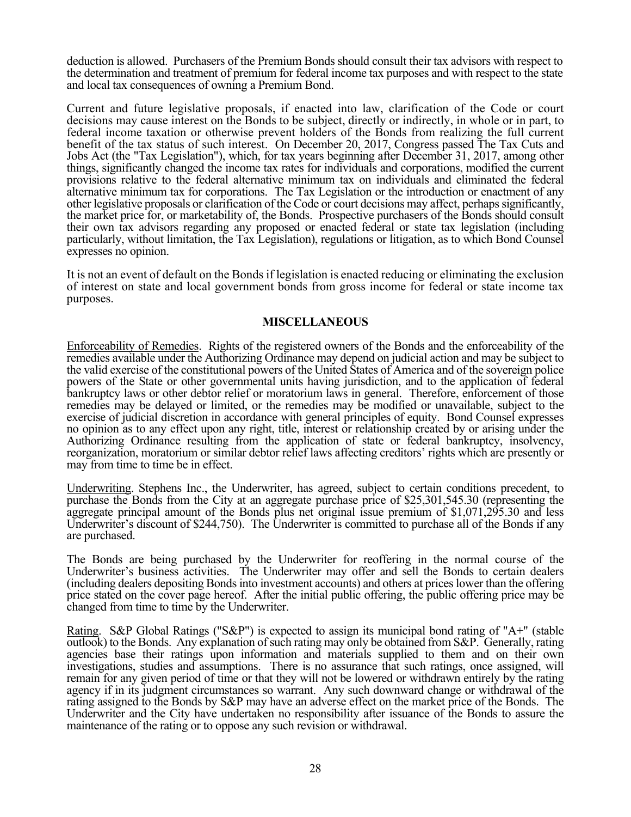deduction is allowed. Purchasers of the Premium Bonds should consult their tax advisors with respect to the determination and treatment of premium for federal income tax purposes and with respect to the state and local tax consequences of owning a Premium Bond.

Current and future legislative proposals, if enacted into law, clarification of the Code or court decisions may cause interest on the Bonds to be subject, directly or indirectly, in whole or in part, to federal income taxation or otherwise prevent holders of the Bonds from realizing the full current benefit of the tax status of such interest. On December 20, 2017, Congress passed The Tax Cuts and Jobs Act (the "Tax Legislation"), which, for tax years beginning after December 31, 2017, among other things, significantly changed the income tax rates for individuals and corporations, modified the current provisions relative to the federal alternative minimum tax on individuals and eliminated the federal alternative minimum tax for corporations. The Tax Legislation or the introduction or enactment of any other legislative proposals or clarification of the Code or court decisions may affect, perhaps significantly, the market price for, or marketability of, the Bonds. Prospective purchasers of the Bonds should consult their own tax advisors regarding any proposed or enacted federal or state tax legislation (including particularly, without limitation, the Tax Legislation), regulations or litigation, as to which Bond Counsel expresses no opinion.

It is not an event of default on the Bonds if legislation is enacted reducing or eliminating the exclusion of interest on state and local government bonds from gross income for federal or state income tax purposes.

### **MISCELLANEOUS**

Enforceability of Remedies. Rights of the registered owners of the Bonds and the enforceability of the remedies available under the Authorizing Ordinance may depend on judicial action and may be subject to the valid exercise of the constitutional powers of the United States of America and of the sovereign police powers of the State or other governmental units having jurisdiction, and to the application of federal bankruptcy laws or other debtor relief or moratorium laws in general. Therefore, enforcement of those remedies may be delayed or limited, or the remedies may be modified or unavailable, subject to the exercise of judicial discretion in accordance with general principles of equity. Bond Counsel expresses no opinion as to any effect upon any right, title, interest or relationship created by or arising under the Authorizing Ordinance resulting from the application of state or federal bankruptcy, insolvency, reorganization, moratorium or similar debtor relief laws affecting creditors' rights which are presently or may from time to time be in effect.

Underwriting. Stephens Inc., the Underwriter, has agreed, subject to certain conditions precedent, to purchase the Bonds from the City at an aggregate purchase price of \$25,301,545.30 (representing the aggregate principal amount of the Bonds plus net original issue premium of \$1,071,295.30 and less Underwriter's discount of \$244,750). The Underwriter is committed to purchase all of the Bonds if any are purchased.

The Bonds are being purchased by the Underwriter for reoffering in the normal course of the Underwriter's business activities. The Underwriter may offer and sell the Bonds to certain dealers (including dealers depositing Bonds into investment accounts) and others at prices lower than the offering price stated on the cover page hereof. After the initial public offering, the public offering price may be changed from time to time by the Underwriter.

Rating. S&P Global Ratings ("S&P") is expected to assign its municipal bond rating of "A+" (stable outlook) to the Bonds. Any explanation of such rating may only be obtained from S&P. Generally, rating agencies base their ratings upon information and materials supplied to them and on their own investigations, studies and assumptions. There is no assurance that such ratings, once assigned, will remain for any given period of time or that they will not be lowered or withdrawn entirely by the rating agency if in its judgment circumstances so warrant. Any such downward change or withdrawal of the rating assigned to the Bonds by S&P may have an adverse effect on the market price of the Bonds. The Underwriter and the City have undertaken no responsibility after issuance of the Bonds to assure the maintenance of the rating or to oppose any such revision or withdrawal.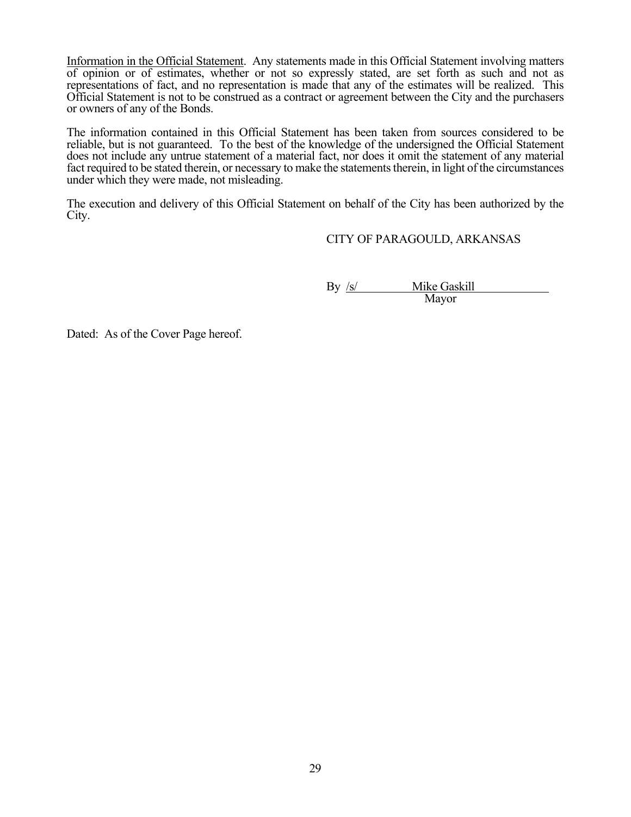Information in the Official Statement. Any statements made in this Official Statement involving matters of opinion or of estimates, whether or not so expressly stated, are set forth as such and not as representations of fact, and no representation is made that any of the estimates will be realized. This Official Statement is not to be construed as a contract or agreement between the City and the purchasers or owners of any of the Bonds.

The information contained in this Official Statement has been taken from sources considered to be reliable, but is not guaranteed. To the best of the knowledge of the undersigned the Official Statement does not include any untrue statement of a material fact, nor does it omit the statement of any material fact required to be stated therein, or necessary to make the statements therein, in light of the circumstances under which they were made, not misleading.

The execution and delivery of this Official Statement on behalf of the City has been authorized by the City.

CITY OF PARAGOULD, ARKANSAS

By /s/ Mike Gaskill Mayor

Dated: As of the Cover Page hereof.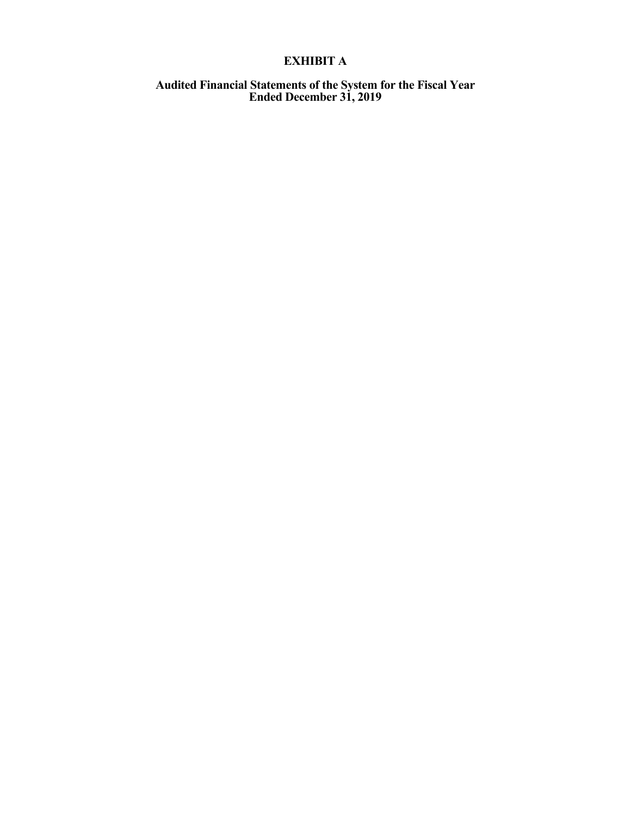# **EXHIBIT A**

#### **Audited Financial Statements of the System for the Fiscal Year Ended December 31, 2019**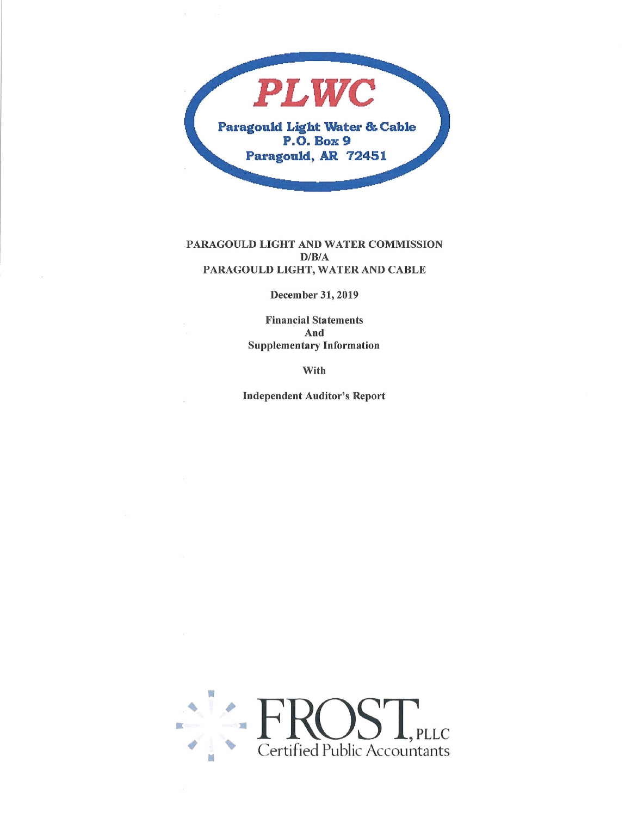

#### PARAGOULD LIGHT AND WATER COMMISSION  $D/B/A$ PARAGOULD LIGHT, WATER AND CABLE

December 31,2019

Financial Statements And Supplementary Information

with

Independent Auditor's Report

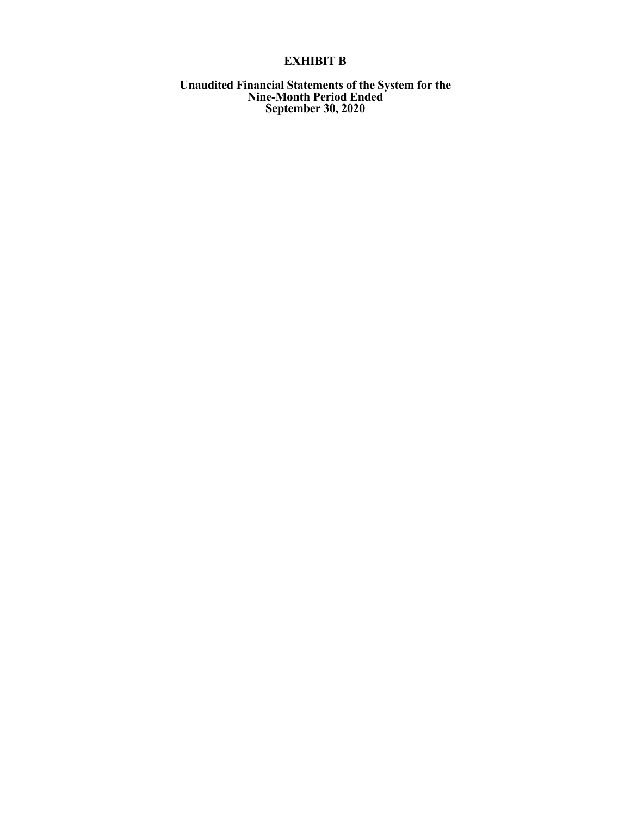# **EXHIBIT B**

**Unaudited Financial Statements of the System for the Nine-Month Period Ended September 30, 2020**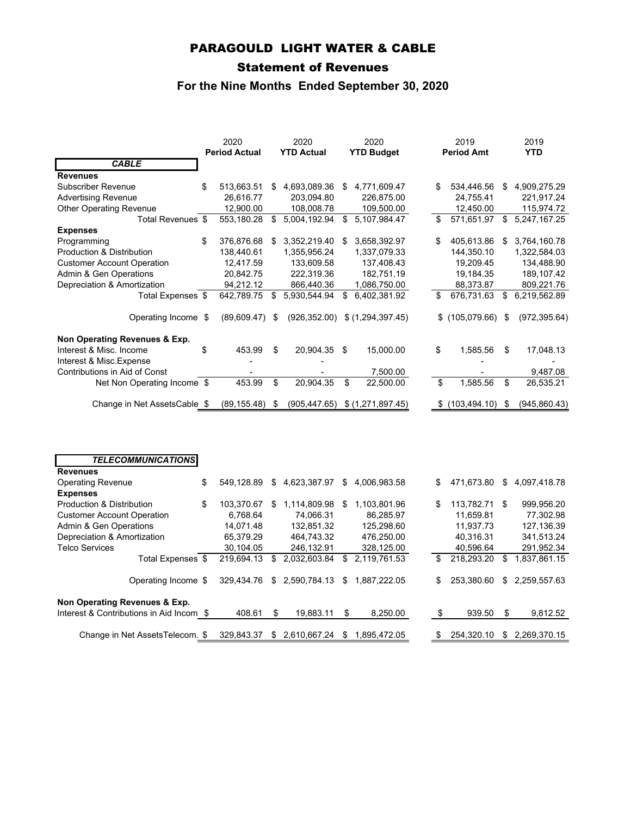# PARAGOULD LIGHT WATER & CABLE

# Statement of Revenues

# **For the Nine Months Ended September 30, 2020**

|                                      | 2020<br><b>Period Actual</b> | 2020<br><b>YTD Actual</b> | 2020<br><b>YTD Budget</b> |    | 2019<br><b>Period Amt</b> |      | 2019<br><b>YTD</b> |
|--------------------------------------|------------------------------|---------------------------|---------------------------|----|---------------------------|------|--------------------|
| <b>CABLE</b>                         |                              |                           |                           |    |                           |      |                    |
| <b>Revenues</b>                      |                              |                           |                           |    |                           |      |                    |
| Subscriber Revenue                   | \$<br>513,663.51             | \$<br>4,693,089.36        | \$<br>4,771,609.47        | S  | 534,446.56                | \$   | 4,909,275.29       |
| <b>Advertising Revenue</b>           | 26,616.77                    | 203,094.80                | 226,875.00                |    | 24,755.41                 |      | 221,917.24         |
| <b>Other Operating Revenue</b>       | 12,900.00                    | 108,008.78                | 109,500.00                |    | 12,450.00                 |      | 115,974.72         |
| Total Revenues \$                    | 553,180.28                   | \$<br>5,004,192.94        | \$<br>5,107,984.47        | \$ | 571,651.97                | \$   | 5,247,167.25       |
| <b>Expenses</b>                      |                              |                           |                           |    |                           |      |                    |
| Programming                          | \$<br>376,876.68             | \$<br>3,352,219.40        | \$<br>3,658,392.97        | \$ | 405,613.86                | \$   | 3,764,160.78       |
| <b>Production &amp; Distribution</b> | 138,440.61                   | 1,355,956.24              | 1,337,079.33              |    | 144,350.10                |      | 1,322,584.03       |
| <b>Customer Account Operation</b>    | 12,417.59                    | 133,609.58                | 137,408.43                |    | 19,209.45                 |      | 134,488.90         |
| Admin & Gen Operations               | 20,842.75                    | 222,319.36                | 182,751.19                |    | 19,184.35                 |      | 189,107.42         |
| Depreciation & Amortization          | 94,212.12                    | 866,440.36                | 1,086,750.00              |    | 88,373.87                 |      | 809,221.76         |
| Total Expenses \$                    | 642,789.75                   | \$<br>5,930,544.94        | \$<br>6,402,381.92        |    | 676,731.63                | \$   | 6,219,562.89       |
| Operating Income \$                  | (89,609.47)                  | \$<br>(926, 352.00)       | \$(1,294,397.45)          |    | \$(105,079.66)            | - \$ | (972, 395.64)      |
| Non Operating Revenues & Exp.        |                              |                           |                           |    |                           |      |                    |
| Interest & Misc. Income              | \$<br>453.99                 | \$<br>20,904.35           | \$<br>15,000.00           | \$ | 1,585.56                  | \$   | 17,048.13          |
| Interest & Misc. Expense             |                              |                           |                           |    |                           |      |                    |
| Contributions in Aid of Const        |                              |                           | 7,500.00                  |    |                           |      | 9,487.08           |
| Net Non Operating Income \$          | 453.99                       | \$<br>20,904.35           | \$<br>22,500.00           | \$ | 1,585.56                  | \$   | 26,535.21          |
| Change in Net AssetsCable \$         | (89, 155.48)                 | \$<br>(905, 447.65)       | \$(1,271,897.45)          |    | (103, 494.10)             | \$   | (945, 860.43)      |
|                                      |                              |                           |                           |    |                           |      |                    |
| <b>TELECOMMUNICATIONS</b>            |                              |                           |                           |    |                           |      |                    |
| <b>Revenues</b>                      |                              |                           |                           |    |                           |      |                    |
| <b>Operating Revenue</b>             | \$<br>549,128.89             | \$<br>4,623,387.97        | \$<br>4,006,983.58        | \$ | 471,673.80                | \$   | 4,097,418.78       |
| <b>Expenses</b>                      |                              |                           |                           |    |                           |      |                    |
| Production & Distribution            | \$<br>103,370.67             | \$<br>1,114,809.98        | \$<br>1,103,801.96        | \$ | 113,782.71                | -\$  | 999,956.20         |
| <b>Customer Account Operation</b>    | 6,768.64                     | 74,066.31                 | 86,285.97                 |    | 11,659.81                 |      | 77,302.98          |
| Admin & Gen Operations               | 14,071.48                    | 132,851.32                | 125,298.60                |    | 11,937.73                 |      | 127,136.39         |
| Depreciation & Amortization          | 65,379.29                    | 464,743.32                | 476,250.00                |    | 40,316.31                 |      | 341,513.24         |

| 50p.00.0000.000 x 7 0.110.000.0011       |            |   | .                                          |      | .               |    | .         |                            |
|------------------------------------------|------------|---|--------------------------------------------|------|-----------------|----|-----------|----------------------------|
| <b>Telco Services</b>                    | 30.104.05  |   | 246.132.91                                 |      | 328.125.00      |    | 40.596.64 | 291.952.34                 |
| Total Expenses \$                        |            |   | 219.694.13 \$ 2.032.603.84                 |      | \$ 2.119.761.53 | \$ |           | 218,293.20 \$ 1,837,861.15 |
| Operating Income \$                      |            |   | 329,434.76 \$ 2,590,784.13 \$ 1,887,222.05 |      |                 | \$ |           | 253,380.60 \$ 2,259,557.63 |
| Non Operating Revenues & Exp.            |            |   |                                            |      |                 |    |           |                            |
| Interest & Contributions in Aid Incom \$ | 408.61     | S | 19.883.11                                  | - \$ | 8.250.00        | -S | 939.50    | \$<br>9.812.52             |
|                                          |            |   |                                            |      |                 |    |           |                            |
| Change in Net AssetsTelecom. \$          | 329.843.37 |   | \$ 2,610,667.24                            | \$.  | 1.895.472.05    |    |           | 254.320.10 \$ 2.269.370.15 |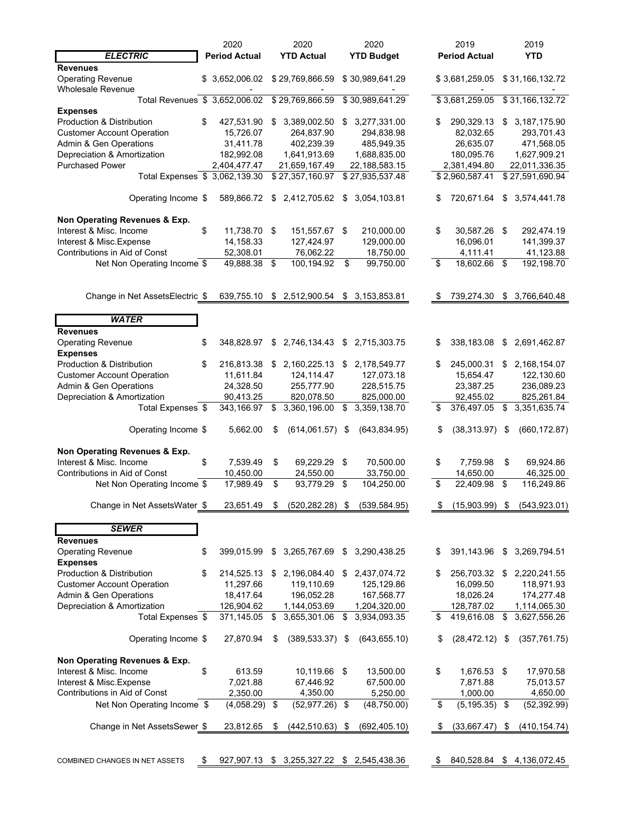|                                                           | 2020                             |      | 2020                                       |      | 2020              |    | 2019                 |    | 2019                      |  |
|-----------------------------------------------------------|----------------------------------|------|--------------------------------------------|------|-------------------|----|----------------------|----|---------------------------|--|
| <b>ELECTRIC</b>                                           | <b>Period Actual</b>             |      | <b>YTD Actual</b>                          |      | <b>YTD Budget</b> |    | <b>Period Actual</b> |    | <b>YTD</b>                |  |
| <b>Revenues</b>                                           |                                  |      |                                            |      |                   |    |                      |    |                           |  |
| <b>Operating Revenue</b>                                  | \$ 3,652,006.02 \$ 29,769,866.59 |      |                                            |      | \$30,989,641.29   |    | \$3,681,259.05       |    | \$31,166,132.72           |  |
| <b>Wholesale Revenue</b>                                  |                                  |      |                                            |      |                   |    |                      |    |                           |  |
| Total Revenues \$ 3,652,006.02                            |                                  |      | \$29,769,866.59                            |      | \$30,989,641.29   |    | \$3,681,259.05       |    | \$31,166,132.72           |  |
| <b>Expenses</b>                                           |                                  |      |                                            |      |                   |    |                      |    |                           |  |
| Production & Distribution                                 | \$<br>427,531.90                 | \$   | 3,389,002.50                               | \$   | 3,277,331.00      | \$ | 290,329.13           | \$ | 3, 187, 175.90            |  |
| <b>Customer Account Operation</b>                         | 15,726.07                        |      | 264,837.90                                 |      | 294,838.98        |    | 82,032.65            |    | 293,701.43                |  |
| Admin & Gen Operations                                    | 31,411.78                        |      | 402,239.39                                 |      | 485,949.35        |    | 26,635.07            |    | 471,568.05                |  |
| Depreciation & Amortization                               | 182,992.08                       |      | 1,641,913.69                               |      | 1,688,835.00      |    | 180,095.76           |    | 1,627,909.21              |  |
| <b>Purchased Power</b>                                    | 2,404,477.47                     |      | 21,659,167.49                              |      | 22,188,583.15     |    | 2,381,494.80         |    | 22,011,336.35             |  |
| Total Expenses \$ 3,062,139.30                            |                                  |      | \$27,357,160.97                            |      | \$27,935,537.48   |    | \$2,960,587.41       |    | \$27,591,690.94           |  |
|                                                           |                                  |      |                                            |      |                   |    |                      |    |                           |  |
| Operating Income \$                                       | 589,866.72                       |      | \$ 2,412,705.62                            | \$   | 3,054,103.81      |    | 720,671.64           | \$ | 3,574,441.78              |  |
|                                                           |                                  |      |                                            |      |                   |    |                      |    |                           |  |
| Non Operating Revenues & Exp.                             |                                  |      |                                            |      |                   |    |                      |    |                           |  |
| Interest & Misc. Income                                   | \$<br>11,738.70 \$               |      | 151,557.67 \$                              |      | 210,000.00        | \$ | 30,587.26            | \$ | 292,474.19                |  |
| Interest & Misc. Expense                                  | 14,158.33                        |      | 127,424.97                                 |      | 129,000.00        |    | 16,096.01            |    | 141,399.37                |  |
| Contributions in Aid of Const                             | 52,308.01                        |      | 76,062.22                                  |      | 18,750.00         |    | 4,111.41             |    | 41,123.88                 |  |
| Net Non Operating Income \$                               | 49,888.38                        | \$   | 100,194.92                                 | \$   | 99,750.00         | \$ | 18,602.66            | \$ | 192,198.70                |  |
|                                                           |                                  |      |                                            |      |                   |    |                      |    |                           |  |
|                                                           |                                  |      |                                            |      |                   |    |                      |    |                           |  |
| Change in Net AssetsElectric \$                           |                                  |      | 639,755.10 \$ 2,512,900.54 \$ 3,153,853.81 |      |                   | S  | 739,274.30           |    | \$3,766,640.48            |  |
|                                                           |                                  |      |                                            |      |                   |    |                      |    |                           |  |
| <b>WATER</b>                                              |                                  |      |                                            |      |                   |    |                      |    |                           |  |
| <b>Revenues</b>                                           |                                  |      |                                            |      |                   |    |                      |    |                           |  |
| <b>Operating Revenue</b>                                  | \$<br>348,828.97                 | \$   | 2,746,134.43                               | \$   | 2,715,303.75      | \$ | 338,183.08           | \$ | 2,691,462.87              |  |
| <b>Expenses</b>                                           |                                  |      |                                            |      |                   |    |                      |    |                           |  |
| Production & Distribution                                 | \$<br>216,813.38 \$              |      | 2,160,225.13                               | \$   | 2,178,549.77      | \$ | 245,000.31           | \$ | 2,168,154.07              |  |
| <b>Customer Account Operation</b>                         | 11,611.84                        |      | 124,114.47                                 |      | 127,073.18        |    | 15,654.47            |    | 122,130.60                |  |
| Admin & Gen Operations                                    | 24,328.50                        |      | 255,777.90                                 |      | 228,515.75        |    | 23,387.25            |    | 236,089.23                |  |
| Depreciation & Amortization                               | 90,413.25                        |      | 820,078.50                                 |      | 825,000.00        |    | 92,455.02            |    | 825,261.84                |  |
| Total Expenses \$                                         | 343,166.97                       | \$   | 3,360,196.00                               | \$   | 3,359,138.70      | \$ | 376,497.05           | \$ | 3,351,635.74              |  |
|                                                           |                                  |      |                                            |      |                   |    |                      |    |                           |  |
| Operating Income \$                                       | 5,662.00                         | S    | (614,061.57)                               | \$   | (643, 834.95)     | \$ | (38, 313.97)         | \$ | (660, 172.87)             |  |
|                                                           |                                  |      |                                            |      |                   |    |                      |    |                           |  |
| Non Operating Revenues & Exp.                             |                                  |      |                                            |      |                   |    |                      |    |                           |  |
| Interest & Misc. Income                                   | \$<br>7,539.49                   | \$   | 69,229.29                                  | \$   | 70,500.00         | \$ | 7,759.98             | \$ | 69,924.86                 |  |
| Contributions in Aid of Const                             | 10,450.00                        |      | 24,550.00                                  |      | 33,750.00         |    | 14,650.00            |    | 46,325.00                 |  |
| Net Non Operating Income \$                               | 17,989.49                        | \$   | 93,779.29                                  | \$   | 104,250.00        | \$ | 22,409.98            | \$ | 116,249.86                |  |
|                                                           |                                  |      |                                            |      |                   |    |                      |    |                           |  |
| Change in Net AssetsWater \$                              | 23,651.49                        | \$   | (520, 282.28)                              | \$   | (539, 584.95)     | \$ | (15,903.99)          | \$ | (543, 923.01)             |  |
|                                                           |                                  |      |                                            |      |                   |    |                      |    |                           |  |
| <b>SEWER</b>                                              |                                  |      |                                            |      |                   |    |                      |    |                           |  |
| <b>Revenues</b>                                           |                                  |      |                                            |      |                   |    |                      |    |                           |  |
| <b>Operating Revenue</b>                                  | \$<br>399,015.99                 | \$   | 3,265,767.69                               |      | \$ 3,290,438.25   | \$ | 391,143.96           | \$ | 3,269,794.51              |  |
| <b>Expenses</b>                                           |                                  |      |                                            |      |                   |    |                      |    |                           |  |
| Production & Distribution                                 | \$<br>214,525.13                 | - \$ | 2,196,084.40                               | \$   | 2,437,074.72      | S  | 256,703.32           | \$ | 2,220,241.55              |  |
| <b>Customer Account Operation</b>                         | 11,297.66                        |      | 119,110.69                                 |      | 125,129.86        |    | 16,099.50            |    | 118,971.93                |  |
| Admin & Gen Operations                                    | 18,417.64                        |      | 196,052.28                                 |      | 167,568.77        |    | 18,026.24            |    | 174,277.48                |  |
| Depreciation & Amortization                               | 126,904.62                       |      | 1,144,053.69                               |      | 1,204,320.00      |    | 128,787.02           |    | 1,114,065.30              |  |
| Total Expenses \$                                         | 371,145.05                       | \$   | 3,655,301.06                               | \$   | 3,934,093.35      | \$ | 419,616.08           | \$ | 3,627,556.26              |  |
|                                                           |                                  |      |                                            |      |                   |    |                      |    |                           |  |
|                                                           | 27,870.94                        | \$   | (389, 533.37)                              | - \$ | (643, 655.10)     | \$ | $(28, 472.12)$ \$    |    |                           |  |
| Operating Income \$                                       |                                  |      |                                            |      |                   |    |                      |    | (357, 761.75)             |  |
| Non Operating Revenues & Exp.                             |                                  |      |                                            |      |                   |    |                      |    |                           |  |
| Interest & Misc. Income                                   | \$<br>613.59                     |      | 10,119.66 \$                               |      | 13,500.00         | \$ | 1,676.53 \$          |    | 17,970.58                 |  |
|                                                           |                                  |      |                                            |      |                   |    |                      |    |                           |  |
| Interest & Misc. Expense<br>Contributions in Aid of Const | 7,021.88<br>2,350.00             |      | 67,446.92<br>4,350.00                      |      | 67,500.00         |    | 7,871.88             |    | 75,013.57                 |  |
|                                                           |                                  |      |                                            |      | 5,250.00          |    | 1,000.00             |    | 4,650.00                  |  |
| Net Non Operating Income \$                               | $(4,058.29)$ \$                  |      | (52, 977.26)                               | \$   | (48, 750.00)      | \$ | (5, 195.35)          | \$ | (52, 392.99)              |  |
|                                                           |                                  |      |                                            |      |                   |    |                      |    |                           |  |
| Change in Net AssetsSewer \$                              | 23,812.65                        | \$   | (442,510.63)                               | \$   | (692, 405.10)     | \$ | (33,667.47)          | \$ | (410, 154.74)             |  |
|                                                           |                                  |      |                                            |      |                   |    |                      |    |                           |  |
|                                                           |                                  |      |                                            |      |                   |    |                      |    |                           |  |
| COMBINED CHANGES IN NET ASSETS                            | \$                               |      | 927,907.13 \$ 3,255,327.22 \$ 2,545,438.36 |      |                   | \$ |                      |    | 840,528.84 \$4,136,072.45 |  |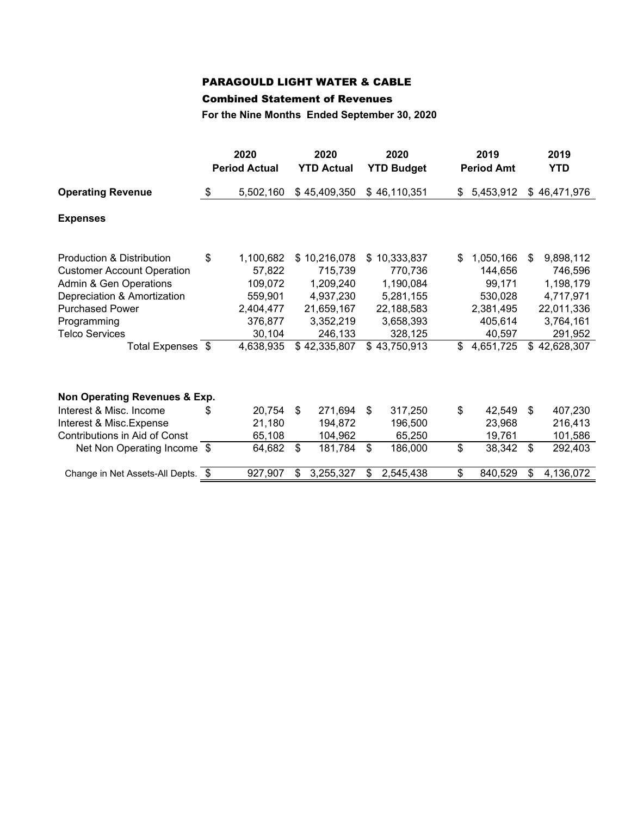# PARAGOULD LIGHT WATER & CABLE

### Combined Statement of Revenues

**For the Nine Months Ended September 30, 2020**

|                                                                                                                                                                                                                | 2020<br><b>Period Actual</b>                                                                   |          | 2020<br><b>YTD Actual</b>                                                                             |          | 2020<br><b>YTD Budget</b>                                                                             |           | 2019<br><b>Period Amt</b>                                                                |          | 2019<br><b>YTD</b>                                                                                   |
|----------------------------------------------------------------------------------------------------------------------------------------------------------------------------------------------------------------|------------------------------------------------------------------------------------------------|----------|-------------------------------------------------------------------------------------------------------|----------|-------------------------------------------------------------------------------------------------------|-----------|------------------------------------------------------------------------------------------|----------|------------------------------------------------------------------------------------------------------|
| <b>Operating Revenue</b>                                                                                                                                                                                       | \$<br>5,502,160                                                                                |          | \$45,409,350                                                                                          |          | \$46,110,351                                                                                          | \$        | 5,453,912                                                                                |          | \$46,471,976                                                                                         |
| <b>Expenses</b>                                                                                                                                                                                                |                                                                                                |          |                                                                                                       |          |                                                                                                       |           |                                                                                          |          |                                                                                                      |
| Production & Distribution<br><b>Customer Account Operation</b><br>Admin & Gen Operations<br>Depreciation & Amortization<br><b>Purchased Power</b><br>Programming<br><b>Telco Services</b><br>Total Expenses \$ | \$<br>1,100,682<br>57,822<br>109,072<br>559,901<br>2,404,477<br>376,877<br>30,104<br>4,638,935 | \$       | 10,216,078<br>715,739<br>1,209,240<br>4,937,230<br>21,659,167<br>3,352,219<br>246,133<br>\$42,335,807 | \$.      | 10,333,837<br>770,736<br>1,190,084<br>5,281,155<br>22,188,583<br>3,658,393<br>328,125<br>\$43,750,913 | \$.<br>\$ | 1,050,166<br>144,656<br>99,171<br>530,028<br>2,381,495<br>405,614<br>40,597<br>4,651,725 | \$.      | 9,898,112<br>746,596<br>1,198,179<br>4,717,971<br>22,011,336<br>3,764,161<br>291,952<br>\$42,628,307 |
| Non Operating Revenues & Exp.<br>Interest & Misc. Income<br>Interest & Misc. Expense<br>Contributions in Aid of Const<br>Net Non Operating Income \$                                                           | \$<br>20,754<br>21,180<br>65,108<br>64,682                                                     | \$<br>\$ | 271,694<br>194,872<br>104,962<br>181,784                                                              | \$<br>\$ | 317,250<br>196,500<br>65,250<br>186,000                                                               | \$<br>\$  | 42,549<br>23,968<br>19,761<br>38,342                                                     | \$<br>\$ | 407,230<br>216,413<br>101,586<br>292,403                                                             |
| Change in Net Assets-All Depts. \$                                                                                                                                                                             | 927,907                                                                                        | \$       | 3,255,327                                                                                             | \$       | 2,545,438                                                                                             | \$        | 840,529                                                                                  | \$       | 4,136,072                                                                                            |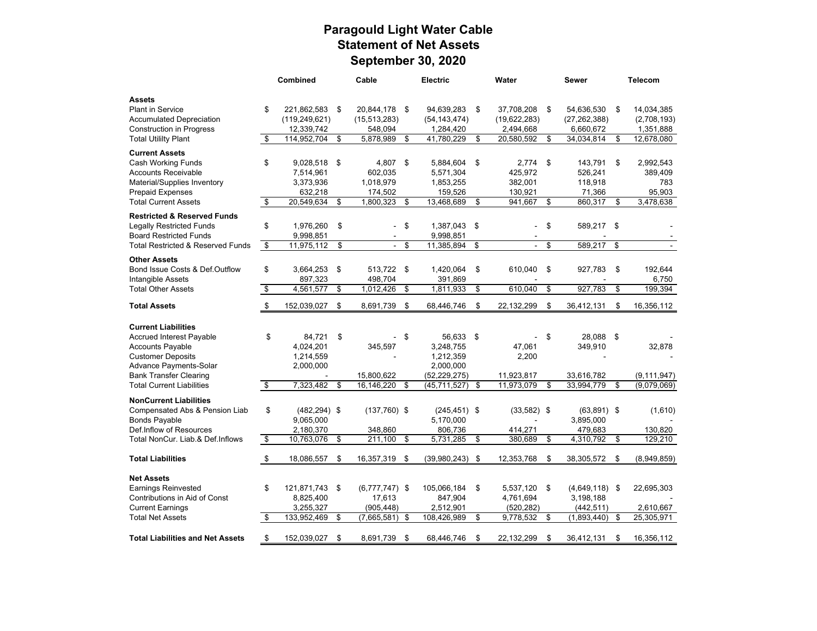# **Paragould Light Water Cable Statement of Net Assets September 30, 2020**

|                                                         |    | Combined               | Cable                | Electric                    | Water              | <b>Sewer</b>                   | <b>Telecom</b>                     |
|---------------------------------------------------------|----|------------------------|----------------------|-----------------------------|--------------------|--------------------------------|------------------------------------|
| <b>Assets</b>                                           |    |                        |                      |                             |                    |                                |                                    |
| <b>Plant in Service</b>                                 | \$ | 221,862,583            | \$<br>20,844,178 \$  | 94,639,283                  | \$<br>37,708,208   | \$<br>54,636,530               | \$<br>14,034,385                   |
| <b>Accumulated Depreciation</b>                         |    | (119, 249, 621)        | (15, 513, 283)       | (54, 143, 474)              | (19,622,283)       | (27, 262, 388)                 | (2,708,193)                        |
| <b>Construction in Progress</b>                         |    | 12,339,742             | 548,094              | 1,284,420                   | 2,494,668          | 6,660,672                      | 1,351,888                          |
| <b>Total Utililty Plant</b>                             | \$ | 114,952,704            | \$<br>5,878,989      | \$<br>41,780,229            | \$<br>20,580,592   | \$<br>34,034,814               | \$<br>12,678,080                   |
|                                                         |    |                        |                      |                             |                    |                                |                                    |
| <b>Current Assets</b>                                   |    |                        |                      |                             |                    |                                |                                    |
| Cash Working Funds<br><b>Accounts Receivable</b>        | \$ | 9,028,518 \$           | 4,807                | \$<br>5,884,604             | \$<br>2,774        | \$<br>143,791                  | \$<br>2,992,543                    |
| Material/Supplies Inventory                             |    | 7,514,961<br>3,373,936 | 602,035<br>1,018,979 | 5,571,304<br>1,853,255      | 425,972<br>382,001 | 526,241<br>118,918             | 389,409<br>783                     |
| <b>Prepaid Expenses</b>                                 |    | 632,218                | 174,502              | 159,526                     | 130,921            | 71,366                         | 95,903                             |
| <b>Total Current Assets</b>                             | \$ | 20,549,634             | \$<br>1,800,323      | \$<br>13,468,689            | \$<br>941,667      | \$<br>860,317                  | \$<br>3,478,638                    |
|                                                         |    |                        |                      |                             |                    |                                |                                    |
| <b>Restricted &amp; Reserved Funds</b>                  |    |                        |                      |                             |                    |                                |                                    |
| <b>Legally Restricted Funds</b>                         | \$ | 1,976,260              | \$<br>$\blacksquare$ | \$<br>1,387,043             | \$                 | \$<br>589,217                  | \$                                 |
| <b>Board Restricted Funds</b>                           |    | 9,998,851              |                      | 9.998.851                   |                    |                                |                                    |
| <b>Total Restricted &amp; Reserved Funds</b>            | \$ | 11,975,112             | \$<br>$\sim$         | \$<br>11,385,894            | \$<br>÷.           | \$<br>589,217                  | \$                                 |
| <b>Other Assets</b>                                     |    |                        |                      |                             |                    |                                |                                    |
| Bond Issue Costs & Def.Outflow                          | \$ | 3,664,253              | \$<br>513,722 \$     | 1,420,064                   | \$<br>610,040      | \$<br>927,783                  | \$<br>192,644                      |
| Intangible Assets                                       |    | 897,323                | 498,704              | 391,869                     |                    |                                | 6,750                              |
| <b>Total Other Assets</b>                               | \$ | 4,561,577              | \$<br>1,012,426      | \$<br>1.811.933             | \$<br>610.040      | \$<br>927.783                  | \$<br>199.394                      |
| <b>Total Assets</b>                                     | \$ | 152,039,027            | \$<br>8,691,739      | \$<br>68,446,746            | \$<br>22,132,299   | \$<br>36,412,131               | \$<br>16,356,112                   |
|                                                         |    |                        |                      |                             |                    |                                |                                    |
| <b>Current Liabilities</b>                              |    |                        |                      |                             |                    |                                |                                    |
| <b>Accrued Interest Payable</b>                         | \$ | 84.721                 | \$                   | \$<br>56,633                | \$                 | \$<br>28,088                   | \$                                 |
| <b>Accounts Payable</b>                                 |    | 4,024,201              | 345,597              | 3,248,755                   | 47,061             | 349,910                        | 32,878                             |
| <b>Customer Deposits</b>                                |    | 1,214,559              |                      | 1,212,359                   | 2,200              |                                |                                    |
| Advance Payments-Solar<br><b>Bank Transfer Clearing</b> |    | 2,000,000              | 15,800,622           | 2,000,000<br>(52, 229, 275) | 11,923,817         |                                |                                    |
| <b>Total Current Liabilities</b>                        | s, | 7,323,482              | \$<br>16,146,220     | \$<br>(45, 711, 527)        | \$<br>11,973,079   | \$<br>33,616,782<br>33,994,779 | \$<br>(9, 111, 947)<br>(9,079,069) |
|                                                         |    |                        |                      |                             |                    |                                |                                    |
| <b>NonCurrent Liabilities</b>                           |    |                        |                      |                             |                    |                                |                                    |
| Compensated Abs & Pension Liab                          | \$ | $(482, 294)$ \$        | $(137,760)$ \$       | $(245, 451)$ \$             | $(33,582)$ \$      | $(63,891)$ \$                  | (1,610)                            |
| <b>Bonds Payable</b>                                    |    | 9,065,000              |                      | 5,170,000                   |                    | 3,895,000                      |                                    |
| Def.Inflow of Resources                                 |    | 2,180,370              | 348,860              | 806,736                     | 414,271            | 479,683                        | 130,820                            |
| Total NonCur. Liab.& Def.Inflows                        | \$ | 10,763,076             | \$<br>211,100        | \$<br>5,731,285             | \$<br>380,689      | \$<br>4,310,792                | \$<br>129,210                      |
| <b>Total Liabilities</b>                                | \$ | 18,086,557             | \$<br>16,357,319 \$  | (39,980,243)                | \$<br>12,353,768   | \$<br>38,305,572               | \$<br>(8,949,859)                  |
|                                                         |    |                        |                      |                             |                    |                                |                                    |
| <b>Net Assets</b>                                       |    |                        |                      |                             |                    |                                |                                    |
| <b>Earnings Reinvested</b>                              | \$ | 121,871,743 \$         | $(6,777,747)$ \$     | 105,066,184                 | \$<br>5,537,120    | \$<br>$(4,649,118)$ \$         | 22,695,303                         |
| Contributions in Aid of Const                           |    | 8,825,400              | 17,613               | 847,904                     | 4,761,694          | 3,198,188                      |                                    |
| <b>Current Earnings</b>                                 |    | 3,255,327              | (905, 448)           | 2,512,901                   | (520, 282)         | (442, 511)                     | 2,610,667                          |
| <b>Total Net Assets</b>                                 | \$ | 133,952,469            | \$<br>(7,665,581)    | \$<br>108,426,989           | \$<br>9,778,532    | \$<br>(1,893,440)              | \$<br>25,305,971                   |
| <b>Total Liabilities and Net Assets</b>                 | \$ | 152.039.027            | \$<br>8.691.739      | \$<br>68.446.746            | \$<br>22.132.299   | \$<br>36,412,131               | \$<br>16.356.112                   |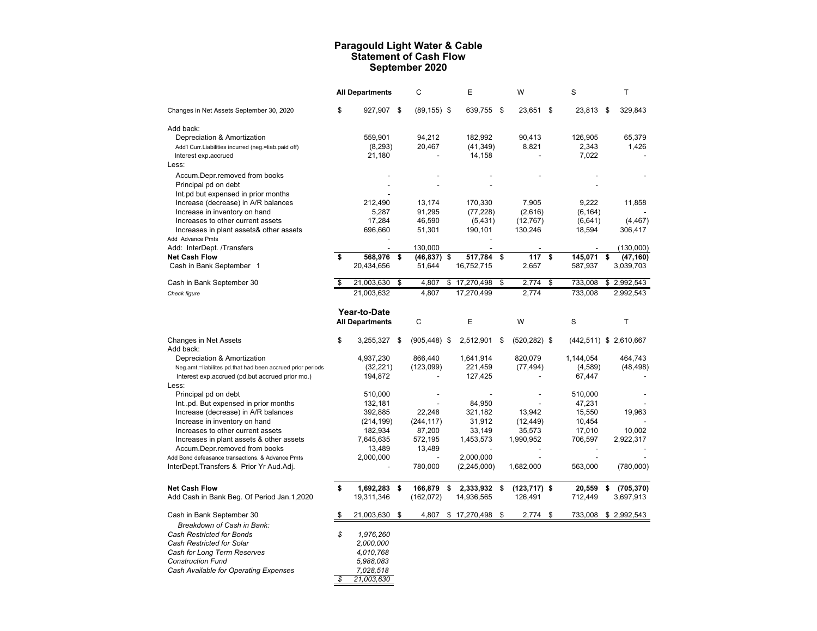# **Paragould Light Water & Cable Statement of Cash Flow September 2020**

|                                                            |    | <b>All Departments</b> |      | C               | Е                | W                     | S               | Τ                        |
|------------------------------------------------------------|----|------------------------|------|-----------------|------------------|-----------------------|-----------------|--------------------------|
| Changes in Net Assets September 30, 2020                   | \$ | 927,907 \$             |      | $(89, 155)$ \$  | 639,755 \$       | 23,651                | \$<br>23,813 \$ | 329,843                  |
| Add back:                                                  |    |                        |      |                 |                  |                       |                 |                          |
| Depreciation & Amortization                                |    | 559.901                |      | 94,212          | 182,992          | 90.413                | 126,905         | 65.379                   |
| Add'l Curr.Liabilities incurred (neg.=liab.paid off)       |    | (8,293)                |      | 20,467          | (41, 349)        | 8,821                 | 2,343           | 1,426                    |
| Interest exp.accrued                                       |    | 21,180                 |      |                 | 14,158           |                       | 7,022           |                          |
| Less:                                                      |    |                        |      |                 |                  |                       |                 |                          |
| Accum.Depr.removed from books                              |    |                        |      |                 |                  |                       |                 |                          |
| Principal pd on debt                                       |    |                        |      |                 |                  |                       |                 |                          |
| Int.pd but expensed in prior months                        |    |                        |      |                 |                  |                       |                 |                          |
| Increase (decrease) in A/R balances                        |    | 212,490                |      | 13,174          | 170,330          | 7,905                 | 9,222           | 11,858                   |
| Increase in inventory on hand                              |    | 5,287                  |      | 91,295          | (77, 228)        | (2,616)               | (6, 164)        |                          |
| Increases to other current assets                          |    | 17,284                 |      | 46,590          | (5,431)          | (12, 767)             | (6,641)         | (4, 467)                 |
| Increases in plant assets& other assets                    |    | 696,660                |      | 51,301          | 190,101          | 130,246               | 18,594          | 306,417                  |
| Add Advance Pmts<br>Add: InterDept. /Transfers             |    |                        |      | 130,000         |                  |                       |                 | (130,000)                |
| <b>Net Cash Flow</b>                                       | \$ | 568,976                | \$   | $(46, 837)$ \$  | 517,784          | \$<br>117             | \$<br>145,071   | \$<br>(47, 160)          |
| Cash in Bank September 1                                   |    | 20,434,656             |      | 51,644          | 16,752,715       | 2,657                 | 587,937         | 3,039,703                |
|                                                            |    |                        |      |                 |                  |                       |                 |                          |
| Cash in Bank September 30                                  | \$ | 21,003,630             | \$   | 4,807           | \$<br>17,270,498 | \$<br>2,774           | \$<br>733,008   | \$<br>2,992,543          |
| Check figure                                               |    | 21,003,632             |      | 4,807           | 17,270,499       | 2,774                 | 733,008         | 2,992,543                |
|                                                            |    | Year-to-Date           |      |                 |                  |                       |                 |                          |
|                                                            |    | <b>All Departments</b> |      | C               | Е                | W                     | S               | T                        |
| Changes in Net Assets                                      | \$ | 3,255,327              | - \$ | $(905, 448)$ \$ | 2,512,901        | \$<br>$(520, 282)$ \$ |                 | $(442,511)$ \$ 2,610,667 |
| Add back:                                                  |    |                        |      |                 |                  |                       |                 |                          |
| Depreciation & Amortization                                |    | 4,937,230              |      | 866,440         | 1,641,914        | 820,079               | 1,144,054       | 464,743                  |
| Neg.amt.=liabilites pd.that had been accrued prior periods |    | (32, 221)              |      | (123,099)       | 221,459          | (77, 494)             | (4,589)         | (48, 498)                |
| Interest exp.accrued (pd.but accrued prior mo.)<br>Less:   |    | 194,872                |      |                 | 127,425          |                       | 67,447          |                          |
| Principal pd on debt                                       |    | 510,000                |      |                 |                  |                       | 510,000         |                          |
| Intpd. But expensed in prior months                        |    | 132,181                |      |                 | 84,950           |                       | 47,231          |                          |
| Increase (decrease) in A/R balances                        |    | 392,885                |      | 22,248          | 321,182          | 13,942                | 15,550          | 19,963                   |
| Increase in inventory on hand                              |    | (214, 199)             |      | (244, 117)      | 31,912           | (12, 449)             | 10,454          |                          |
| Increases to other current assets                          |    | 182,934                |      | 87,200          | 33,149           | 35,573                | 17,010          | 10,002                   |
| Increases in plant assets & other assets                   |    | 7,645,635              |      | 572,195         | 1,453,573        | 1,990,952             | 706,597         | 2,922,317                |
| Accum.Depr.removed from books                              |    | 13,489                 |      | 13,489          |                  |                       |                 |                          |
| Add Bond defeasance transactions. & Advance Pmts           |    | 2,000,000              |      |                 | 2,000,000        |                       |                 |                          |
| InterDept.Transfers & Prior Yr Aud.Adj.                    |    |                        |      | 780,000         | (2,245,000)      | 1,682,000             | 563,000         | (780,000)                |
| <b>Net Cash Flow</b>                                       | \$ | 1,692,283 \$           |      | 166,879         | \$<br>2,333,932  | \$<br>$(123, 717)$ \$ | 20,559          | \$<br>(705, 370)         |
| Add Cash in Bank Beg. Of Period Jan.1,2020                 |    | 19,311,346             |      | (162, 072)      | 14,936,565       | 126,491               | 712,449         | 3,697,913                |
| Cash in Bank September 30                                  | S  | 21,003,630             | \$   | 4,807           | \$17,270,498     | \$<br>$2,774$ \$      | 733,008         | \$2,992,543              |
| Breakdown of Cash in Bank:                                 |    |                        |      |                 |                  |                       |                 |                          |
| Cash Restricted for Bonds                                  | \$ | 1,976,260              |      |                 |                  |                       |                 |                          |
| Cash Restricted for Solar                                  |    | 2,000,000              |      |                 |                  |                       |                 |                          |
| Cash for Long Term Reserves                                |    | 4,010,768              |      |                 |                  |                       |                 |                          |
| <b>Construction Fund</b>                                   |    | 5,988,083              |      |                 |                  |                       |                 |                          |
| Cash Available for Operating Expenses                      |    | 7,028,518              |      |                 |                  |                       |                 |                          |
|                                                            | \$ | 21,003,630             |      |                 |                  |                       |                 |                          |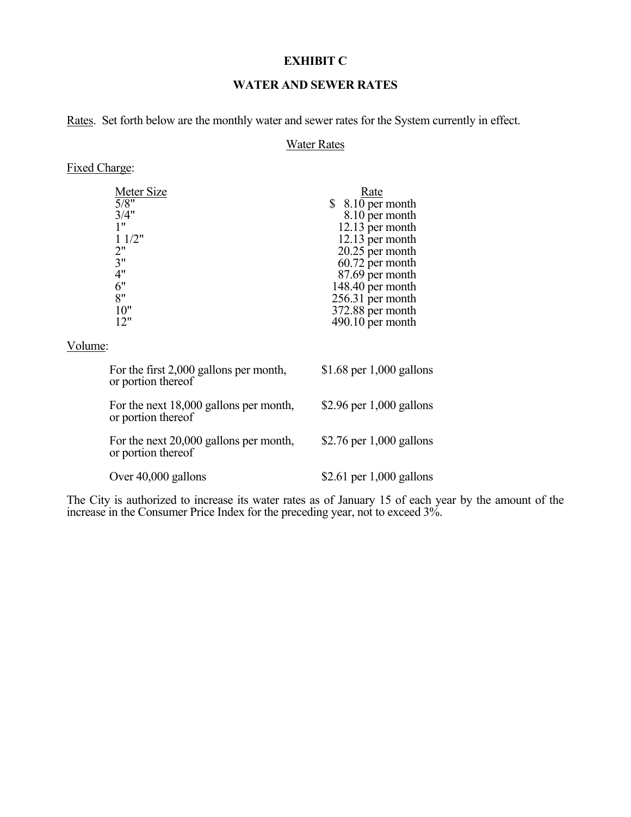### **EXHIBIT C**

### **WATER AND SEWER RATES**

Rates. Set forth below are the monthly water and sewer rates for the System currently in effect.

### Water Rates

# Fixed Charge:

| Meter Size                                                   |                                        | <b>Rate</b>                |  |
|--------------------------------------------------------------|----------------------------------------|----------------------------|--|
| 5/8"                                                         |                                        | $$8.10$ per month          |  |
| 3/4"                                                         |                                        | 8.10 per month             |  |
| 1"                                                           |                                        | 12.13 per month            |  |
| 11/2"                                                        |                                        | 12.13 per month            |  |
| 2"                                                           |                                        | 20.25 per month            |  |
| 3"                                                           |                                        | 60.72 per month            |  |
| 4"                                                           |                                        | 87.69 per month            |  |
| 6"                                                           |                                        | 148.40 per month           |  |
| 8"                                                           |                                        | 256.31 per month           |  |
| 10"                                                          |                                        | 372.88 per month           |  |
| 12"                                                          |                                        | $490.10$ per month         |  |
|                                                              |                                        |                            |  |
| Volume:                                                      |                                        |                            |  |
| For the first 2,000 gallons per month,<br>or portion thereof |                                        | \$1.68 per $1,000$ gallons |  |
| or portion thereof                                           | For the next 18,000 gallons per month, | \$2.96 per $1,000$ gallons |  |
| or portion thereof                                           | For the next 20,000 gallons per month, | \$2.76 per $1,000$ gallons |  |
| Over $40,000$ gallons                                        |                                        | \$2.61 per $1,000$ gallons |  |

The City is authorized to increase its water rates as of January 15 of each year by the amount of the increase in the Consumer Price Index for the preceding year, not to exceed 3%.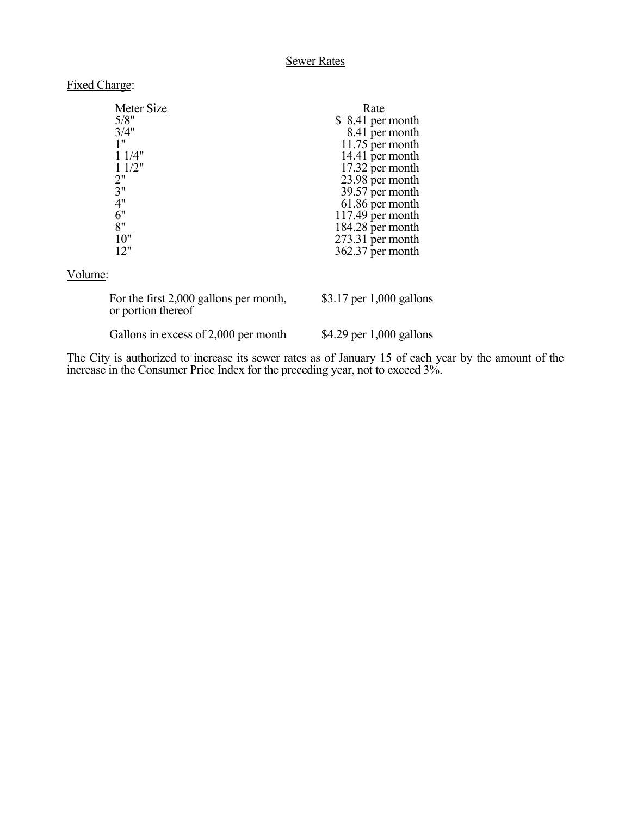### Sewer Rates

### Fixed Charge:

| Meter Size                                                   | Rate                       |
|--------------------------------------------------------------|----------------------------|
| 5/8"                                                         | $$8.41$ per month          |
| 3/4"                                                         | 8.41 per month             |
| 1"                                                           | 11.75 per month            |
| 11/4"                                                        | 14.41 per month            |
| 11/2"                                                        | 17.32 per month            |
| 2"                                                           | 23.98 per month            |
| 3"                                                           | 39.57 per month            |
| 4"                                                           | 61.86 per month            |
| 6"                                                           | 117.49 per month           |
| 8"                                                           | 184.28 per month           |
| 10"                                                          | 273.31 per month           |
| 12"                                                          | $362.37$ per month         |
| Volume:                                                      |                            |
| For the first 2,000 gallons per month,<br>or portion thereof | \$3.17 per $1,000$ gallons |

Gallons in excess of 2,000 per month \$4.29 per 1,000 gallons

The City is authorized to increase its sewer rates as of January 15 of each year by the amount of the increase in the Consumer Price Index for the preceding year, not to exceed 3%.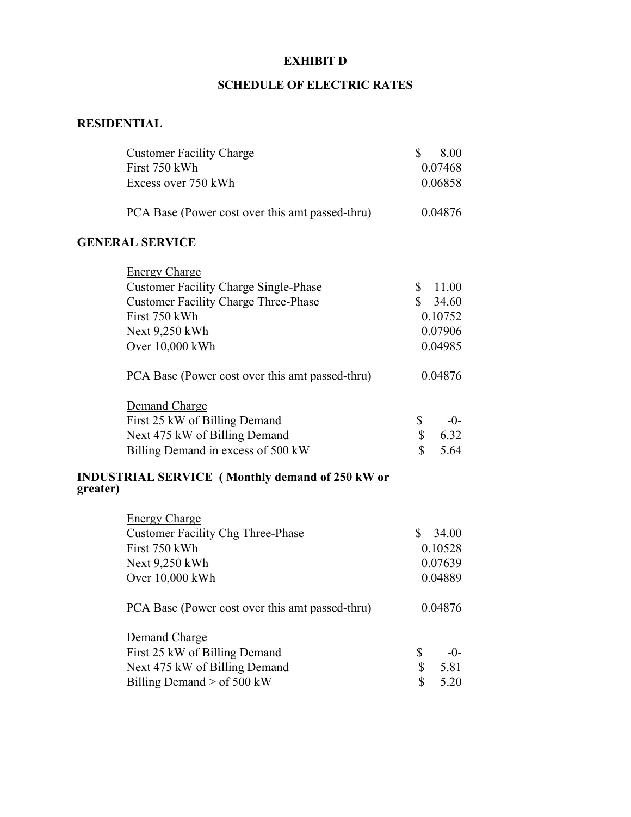# **EXHIBIT D**

# **SCHEDULE OF ELECTRIC RATES**

# **RESIDENTIAL**

| <b>Customer Facility Charge</b>                                    | \$<br>8.00            |
|--------------------------------------------------------------------|-----------------------|
| First 750 kWh                                                      | 0.07468               |
| Excess over 750 kWh                                                | 0.06858               |
| PCA Base (Power cost over this amt passed-thru)                    | 0.04876               |
| <b>GENERAL SERVICE</b>                                             |                       |
| <b>Energy Charge</b>                                               |                       |
| <b>Customer Facility Charge Single-Phase</b>                       | $\mathbb{S}$<br>11.00 |
| <b>Customer Facility Charge Three-Phase</b>                        | $\mathbb{S}$<br>34.60 |
| First 750 kWh                                                      | 0.10752               |
| Next 9,250 kWh                                                     | 0.07906               |
| Over 10,000 kWh                                                    | 0.04985               |
| PCA Base (Power cost over this amt passed-thru)                    | 0.04876               |
| Demand Charge                                                      |                       |
| First 25 kW of Billing Demand                                      | \$<br>$-0-$           |
| Next 475 kW of Billing Demand                                      | \$<br>6.32            |
| Billing Demand in excess of 500 kW                                 | \$<br>5.64            |
| <b>INDUSTRIAL SERVICE</b> (Monthly demand of 250 kW or<br>greater) |                       |
| <b>Energy Charge</b>                                               |                       |
| <b>Customer Facility Chg Three-Phase</b>                           | $\mathbb{S}$<br>34.00 |
| First 750 kWh                                                      | 0.10528               |
| Next 9,250 kWh                                                     | 0.07639               |
| Over 10,000 kWh                                                    | 0.04889               |
| PCA Base (Power cost over this amt passed-thru)                    | 0.04876               |
| Demand Charge                                                      |                       |
| First 25 kW of Billing Demand                                      | \$<br>$-0-$           |
| Next 475 kW of Billing Demand                                      | \$<br>5.81            |
| Billing Demand > of 500 kW                                         | \$<br>5.20            |